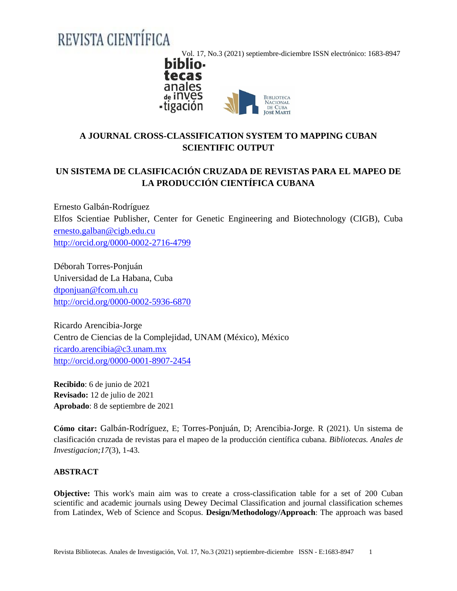# REVISTA CIENTÍFICA

Vol. 17, No.3 (2021) septiembre-diciembre ISSN electrónico: 1683-8947<br>**biblio** 



# **A JOURNAL CROSS-CLASSIFICATION SYSTEM TO MAPPING CUBAN SCIENTIFIC OUTPUT**

# **UN SISTEMA DE CLASIFICACIÓN CRUZADA DE REVISTAS PARA EL MAPEO DE LA PRODUCCIÓN CIENTÍFICA CUBANA**

Ernesto Galbán-Rodríguez Elfos Scientiae Publisher, Center for Genetic Engineering and Biotechnology (CIGB), Cuba [ernesto.galban@cigb.edu.cu](mailto:ernesto.galban@cigb.edu.cu) <http://orcid.org/0000-0002-2716-4799>

Déborah Torres-Ponjuán Universidad de La Habana, Cuba [dtponjuan@fcom.uh.cu](mailto:dtponjuan@fcom.uh.cu) <http://orcid.org/0000-0002-5936-6870>

Ricardo Arencibia-Jorge Centro de Ciencias de la Complejidad, UNAM (México), México [ricardo.arencibia@c3.unam.mx](mailto:ricardo.arencibia@c3.unam.mx) <http://orcid.org/0000-0001-8907-2454>

**Recibido**: 6 de junio de 2021 **Revisado:** 12 de julio de 2021 **Aprobado**: 8 de septiembre de 2021

**Cómo citar:** Galbán-Rodríguez, E; Torres-Ponjuán, D; Arencibia-Jorge. R (2021). Un sistema de clasificación cruzada de revistas para el mapeo de la producción científica cubana. *Bibliotecas. Anales de Investigacion;17*(3), 1-43.

# **ABSTRACT**

**Objective:** This work's main aim was to create a cross-classification table for a set of 200 Cuban scientific and academic journals using Dewey Decimal Classification and journal classification schemes from Latindex, Web of Science and Scopus. **Design/Methodology/Approach**: The approach was based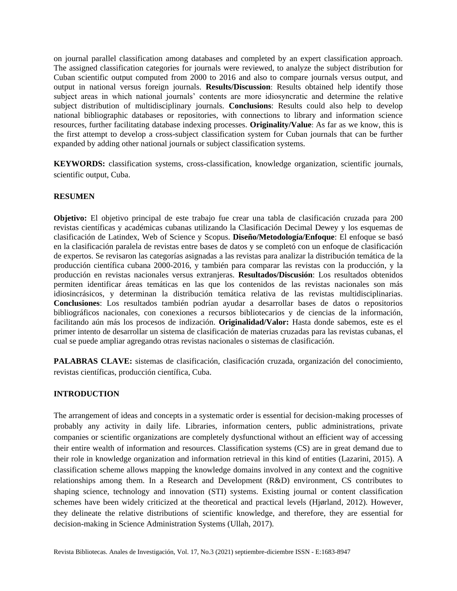on journal parallel classification among databases and completed by an expert classification approach. The assigned classification categories for journals were reviewed, to analyze the subject distribution for Cuban scientific output computed from 2000 to 2016 and also to compare journals versus output, and output in national versus foreign journals. **Results/Discussion**: Results obtained help identify those subject areas in which national journals' contents are more idiosyncratic and determine the relative subject distribution of multidisciplinary journals. **Conclusions**: Results could also help to develop national bibliographic databases or repositories, with connections to library and information science resources, further facilitating database indexing processes. **Originality/Value**: As far as we know, this is the first attempt to develop a cross-subject classification system for Cuban journals that can be further expanded by adding other national journals or subject classification systems.

**KEYWORDS:** classification systems, cross-classification, knowledge organization, scientific journals, scientific output, Cuba.

## **RESUMEN**

**Objetivo:** El objetivo principal de este trabajo fue crear una tabla de clasificación cruzada para 200 revistas científicas y académicas cubanas utilizando la Clasificación Decimal Dewey y los esquemas de clasificación de Latindex, Web of Science y Scopus. **Diseño/Metodología/Enfoque**: El enfoque se basó en la clasificación paralela de revistas entre bases de datos y se completó con un enfoque de clasificación de expertos. Se revisaron las categorías asignadas a las revistas para analizar la distribución temática de la producción científica cubana 2000-2016, y también para comparar las revistas con la producción, y la producción en revistas nacionales versus extranjeras. **Resultados/Discusión**: Los resultados obtenidos permiten identificar áreas temáticas en las que los contenidos de las revistas nacionales son más idiosincrásicos, y determinan la distribución temática relativa de las revistas multidisciplinarias. **Conclusiones**: Los resultados también podrían ayudar a desarrollar bases de datos o repositorios bibliográficos nacionales, con conexiones a recursos bibliotecarios y de ciencias de la información, facilitando aún más los procesos de indización. **Originalidad/Valor:** Hasta donde sabemos, este es el primer intento de desarrollar un sistema de clasificación de materias cruzadas para las revistas cubanas, el cual se puede ampliar agregando otras revistas nacionales o sistemas de clasificación.

**PALABRAS CLAVE:** sistemas de clasificación, clasificación cruzada, organización del conocimiento, revistas científicas, producción científica, Cuba.

# **INTRODUCTION**

The arrangement of ideas and concepts in a systematic order is essential for decision-making processes of probably any activity in daily life. Libraries, information centers, public administrations, private companies or scientific organizations are completely dysfunctional without an efficient way of accessing their entire wealth of information and resources. Classification systems (CS) are in great demand due to their role in knowledge organization and information retrieval in this kind of entities (Lazarini, 2015). A classification scheme allows mapping the knowledge domains involved in any context and the cognitive relationships among them. In a Research and Development (R&D) environment, CS contributes to shaping science, technology and innovation (STI) systems. Existing journal or content classification schemes have been widely criticized at the theoretical and practical levels (Hjørland, 2012). However, they delineate the relative distributions of scientific knowledge, and therefore, they are essential for decision-making in Science Administration Systems (Ullah, 2017).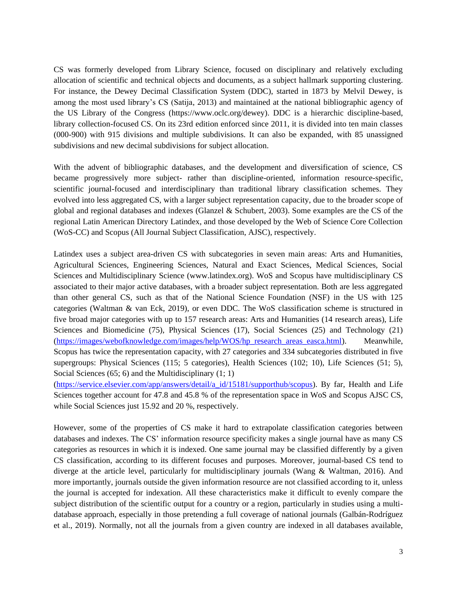CS was formerly developed from Library Science, focused on disciplinary and relatively excluding allocation of scientific and technical objects and documents, as a subject hallmark supporting clustering. For instance, the Dewey Decimal Classification System (DDC), started in 1873 by Melvil Dewey, is among the most used library's CS (Satija, 2013) and maintained at the national bibliographic agency of the US Library of the Congress (https://www.oclc.org/dewey). DDC is a hierarchic discipline-based, library collection-focused CS. On its 23rd edition enforced since 2011, it is divided into ten main classes (000-900) with 915 divisions and multiple subdivisions. It can also be expanded, with 85 unassigned subdivisions and new decimal subdivisions for subject allocation.

With the advent of bibliographic databases, and the development and diversification of science, CS became progressively more subject- rather than discipline-oriented, information resource-specific, scientific journal-focused and interdisciplinary than traditional library classification schemes. They evolved into less aggregated CS, with a larger subject representation capacity, due to the broader scope of global and regional databases and indexes (Glanzel & Schubert, 2003). Some examples are the CS of the regional Latin American Directory Latindex, and those developed by the Web of Science Core Collection (WoS-CC) and Scopus (All Journal Subject Classification, AJSC), respectively.

Latindex uses a subject area-driven CS with subcategories in seven main areas: Arts and Humanities, Agricultural Sciences, Engineering Sciences, Natural and Exact Sciences, Medical Sciences, Social Sciences and Multidisciplinary Science (www.latindex.org). WoS and Scopus have multidisciplinary CS associated to their major active databases, with a broader subject representation. Both are less aggregated than other general CS, such as that of the National Science Foundation (NSF) in the US with 125 categories (Waltman & van Eck, 2019), or even DDC. The WoS classification scheme is structured in five broad major categories with up to 157 research areas: Arts and Humanities (14 research areas), Life Sciences and Biomedicine (75), Physical Sciences (17), Social Sciences (25) and Technology (21) [\(https://images/webofknowledge.com/images/help/WOS/hp\\_research\\_areas\\_easca.html\)](https://images/webofknowledge.com/images/help/WOS/hp_research_areas_easca.html). Meanwhile, Scopus has twice the representation capacity, with 27 categories and 334 subcategories distributed in five supergroups: Physical Sciences (115; 5 categories), Health Sciences (102; 10), Life Sciences (51; 5), Social Sciences (65; 6) and the Multidisciplinary (1; 1)

[\(https://service.elsevier.com/app/answers/detail/a\\_id/15181/supporthub/scopus\)](https://service.elsevier.com/app/answers/detail/a_id/15181/supporthub/scopus). By far, Health and Life Sciences together account for 47.8 and 45.8 % of the representation space in WoS and Scopus AJSC CS, while Social Sciences just 15.92 and 20 %, respectively.

However, some of the properties of CS make it hard to extrapolate classification categories between databases and indexes. The CS' information resource specificity makes a single journal have as many CS categories as resources in which it is indexed. One same journal may be classified differently by a given CS classification, according to its different focuses and purposes. Moreover, journal-based CS tend to diverge at the article level, particularly for multidisciplinary journals (Wang & Waltman, 2016). And more importantly, journals outside the given information resource are not classified according to it, unless the journal is accepted for indexation. All these characteristics make it difficult to evenly compare the subject distribution of the scientific output for a country or a region, particularly in studies using a multidatabase approach, especially in those pretending a full coverage of national journals (Galbán-Rodríguez et al., 2019). Normally, not all the journals from a given country are indexed in all databases available,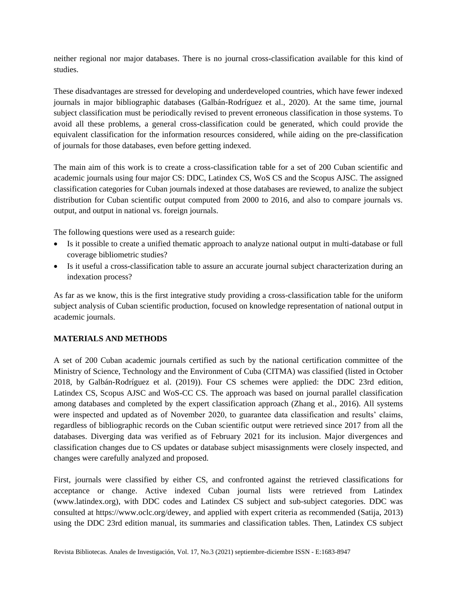neither regional nor major databases. There is no journal cross-classification available for this kind of studies.

These disadvantages are stressed for developing and underdeveloped countries, which have fewer indexed journals in major bibliographic databases (Galbán-Rodríguez et al., 2020). At the same time, journal subject classification must be periodically revised to prevent erroneous classification in those systems. To avoid all these problems, a general cross-classification could be generated, which could provide the equivalent classification for the information resources considered, while aiding on the pre-classification of journals for those databases, even before getting indexed.

The main aim of this work is to create a cross-classification table for a set of 200 Cuban scientific and academic journals using four major CS: DDC, Latindex CS, WoS CS and the Scopus AJSC. The assigned classification categories for Cuban journals indexed at those databases are reviewed, to analize the subject distribution for Cuban scientific output computed from 2000 to 2016, and also to compare journals vs. output, and output in national vs. foreign journals.

The following questions were used as a research guide:

- Is it possible to create a unified thematic approach to analyze national output in multi-database or full coverage bibliometric studies?
- Is it useful a cross-classification table to assure an accurate journal subject characterization during an indexation process?

As far as we know, this is the first integrative study providing a cross-classification table for the uniform subject analysis of Cuban scientific production, focused on knowledge representation of national output in academic journals.

# **MATERIALS AND METHODS**

A set of 200 Cuban academic journals certified as such by the national certification committee of the Ministry of Science, Technology and the Environment of Cuba (CITMA) was classified (listed in October 2018, by Galbán-Rodríguez et al. (2019)). Four CS schemes were applied: the DDC 23rd edition, Latindex CS, Scopus AJSC and WoS-CC CS. The approach was based on journal parallel classification among databases and completed by the expert classification approach (Zhang et al., 2016). All systems were inspected and updated as of November 2020, to guarantee data classification and results' claims, regardless of bibliographic records on the Cuban scientific output were retrieved since 2017 from all the databases. Diverging data was verified as of February 2021 for its inclusion. Major divergences and classification changes due to CS updates or database subject misassignments were closely inspected, and changes were carefully analyzed and proposed.

First, journals were classified by either CS, and confronted against the retrieved classifications for acceptance or change. Active indexed Cuban journal lists were retrieved from Latindex (www.latindex.org), with DDC codes and Latindex CS subject and sub-subject categories. DDC was consulted at https://www.oclc.org/dewey, and applied with expert criteria as recommended (Satija, 2013) using the DDC 23rd edition manual, its summaries and classification tables. Then, Latindex CS subject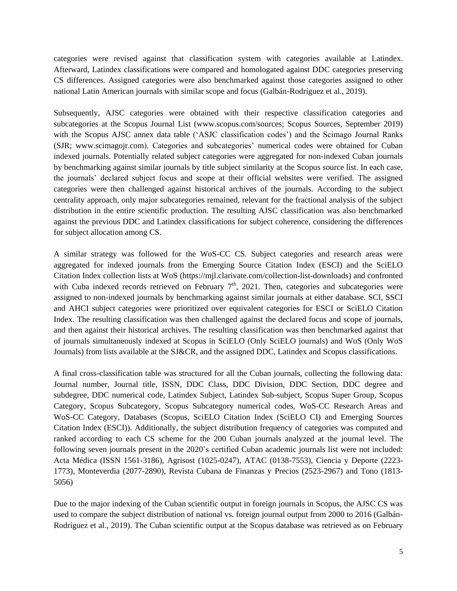categories were revised against that classification system with categories available at Latindex. Afterward, Latindex classifications were compared and homologated against DDC categories preserving CS differences. Assigned categories were also benchmarked against those categories assigned to other national Latin American journals with similar scope and focus (Galbán-Rodríguez et al., 2019).

Subsequently, AJSC categories were obtained with their respective classification categories and subcategories at the Scopus Journal List (www.scopus.com/sources; Scopus Sources, September 2019) with the Scopus AJSC annex data table ('ASJC classification codes') and the Scimago Journal Ranks (SJR; www.scimagojr.com). Categories and subcategories' numerical codes were obtained for Cuban indexed journals. Potentially related subject categories were aggregated for non-indexed Cuban journals by benchmarking against similar journals by title subject similarity at the Scopus source list. In each case, the journals' declared subject focus and scope at their official websites were verified. The assigned categories were then challenged against historical archives of the journals. According to the subject centrality approach, only major subcategories remained, relevant for the fractional analysis of the subject distribution in the entire scientific production. The resulting AJSC classification was also benchmarked against the previous DDC and Latindex classifications for subject coherence, considering the differences for subject allocation among CS.

A similar strategy was followed for the WoS-CC CS. Subject categories and research areas were aggregated for indexed journals from the Emerging Source Citation Index (ESCI) and the SciELO Citation Index collection lists at WoS (https://mjl.clarivate.com/collection-list-downloads) and confronted with Cuba indexed records retrieved on February  $7<sup>th</sup>$ , 2021. Then, categories and subcategories were assigned to non-indexed journals by benchmarking against similar journals at either database. SCI, SSCI and AHCI subject categories were prioritized over equivalent categories for ESCI or SciELO Citation Index. The resulting classification was then challenged against the declared focus and scope of journals, and then against their historical archives. The resulting classification was then benchmarked against that of journals simultaneously indexed at Scopus in SciELO (Only SciELO journals) and WoS (Only WoS Journals) from lists available at the SJ&CR, and the assigned DDC, Latindex and Scopus classifications.

A final cross-classification table was structured for all the Cuban journals, collecting the following data: Journal number, Journal title, ISSN, DDC Class, DDC Division, DDC Section, DDC degree and subdegree, DDC numerical code, Latindex Subject, Latindex Sub-subject, Scopus Super Group, Scopus Category, Scopus Subcategory, Scopus Subcategory numerical codes, WoS-CC Research Areas and WoS-CC Category, Databases (Scopus, SciELO Citation Index (SciELO CI) and Emerging Sources Citation Index (ESCI)). Additionally, the subject distribution frequency of categories was computed and ranked according to each CS scheme for the 200 Cuban journals analyzed at the journal level. The following seven journals present in the 2020's certified Cuban academic journals list were not included: Acta Médica (ISSN 1561-3186), Agrisost (1025-0247), ATAC (0138-7553), Ciencia y Deporte (2223- 1773), Monteverdia (2077-2890), Revista Cubana de Finanzas y Precios (2523-2967) and Tono (1813- 5056)

Due to the major indexing of the Cuban scientific output in foreign journals in Scopus, the AJSC CS was used to compare the subject distribution of national vs. foreign journal output from 2000 to 2016 (Galbán-Rodríguez et al., 2019). The Cuban scientific output at the Scopus database was retrieved as on February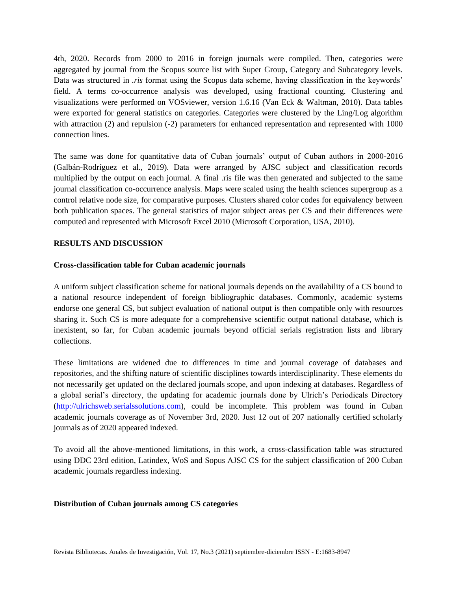4th, 2020. Records from 2000 to 2016 in foreign journals were compiled. Then, categories were aggregated by journal from the Scopus source list with Super Group, Category and Subcategory levels. Data was structured in *.ris* format using the Scopus data scheme, having classification in the keywords' field. A terms co-occurrence analysis was developed, using fractional counting. Clustering and visualizations were performed on VOSviewer, version 1.6.16 (Van Eck & Waltman, 2010). Data tables were exported for general statistics on categories. Categories were clustered by the Ling/Log algorithm with attraction (2) and repulsion (-2) parameters for enhanced representation and represented with 1000 connection lines.

The same was done for quantitative data of Cuban journals' output of Cuban authors in 2000-2016 (Galbán-Rodríguez et al., 2019). Data were arranged by AJSC subject and classification records multiplied by the output on each journal. A final .ris file was then generated and subjected to the same journal classification co-occurrence analysis. Maps were scaled using the health sciences supergroup as a control relative node size, for comparative purposes. Clusters shared color codes for equivalency between both publication spaces. The general statistics of major subject areas per CS and their differences were computed and represented with Microsoft Excel 2010 (Microsoft Corporation, USA, 2010).

## **RESULTS AND DISCUSSION**

## **Cross-classification table for Cuban academic journals**

A uniform subject classification scheme for national journals depends on the availability of a CS bound to a national resource independent of foreign bibliographic databases. Commonly, academic systems endorse one general CS, but subject evaluation of national output is then compatible only with resources sharing it. Such CS is more adequate for a comprehensive scientific output national database, which is inexistent, so far, for Cuban academic journals beyond official serials registration lists and library collections.

These limitations are widened due to differences in time and journal coverage of databases and repositories, and the shifting nature of scientific disciplines towards interdisciplinarity. These elements do not necessarily get updated on the declared journals scope, and upon indexing at databases. Regardless of a global serial's directory, the updating for academic journals done by Ulrich's Periodicals Directory [\(http://ulrichsweb.serialssolutions.com\)](http://ulrichsweb.serialssolutions.com/), could be incomplete. This problem was found in Cuban academic journals coverage as of November 3rd, 2020. Just 12 out of 207 nationally certified scholarly journals as of 2020 appeared indexed.

To avoid all the above-mentioned limitations, in this work, a cross-classification table was structured using DDC 23rd edition, Latindex, WoS and Sopus AJSC CS for the subject classification of 200 Cuban academic journals regardless indexing.

#### **Distribution of Cuban journals among CS categories**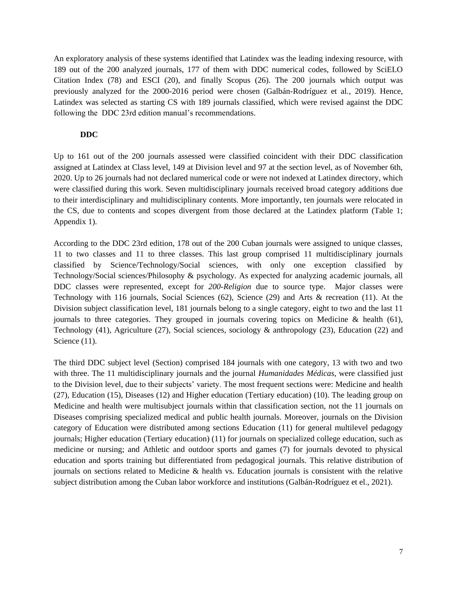An exploratory analysis of these systems identified that Latindex was the leading indexing resource, with 189 out of the 200 analyzed journals, 177 of them with DDC numerical codes, followed by SciELO Citation Index (78) and ESCI (20), and finally Scopus (26). The 200 journals which output was previously analyzed for the 2000-2016 period were chosen (Galbán-Rodríguez et al., 2019). Hence, Latindex was selected as starting CS with 189 journals classified, which were revised against the DDC following the DDC 23rd edition manual's recommendations.

## **DDC**

Up to 161 out of the 200 journals assessed were classified coincident with their DDC classification assigned at Latindex at Class level, 149 at Division level and 97 at the section level, as of November 6th, 2020. Up to 26 journals had not declared numerical code or were not indexed at Latindex directory, which were classified during this work. Seven multidisciplinary journals received broad category additions due to their interdisciplinary and multidisciplinary contents. More importantly, ten journals were relocated in the CS, due to contents and scopes divergent from those declared at the Latindex platform (Table 1; Appendix 1).

According to the DDC 23rd edition, 178 out of the 200 Cuban journals were assigned to unique classes, 11 to two classes and 11 to three classes. This last group comprised 11 multidisciplinary journals classified by Science/Technology/Social sciences, with only one exception classified by Technology/Social sciences/Philosophy & psychology. As expected for analyzing academic journals, all DDC classes were represented, except for *200-Religion* due to source type. Major classes were Technology with 116 journals, Social Sciences (62), Science (29) and Arts & recreation (11). At the Division subject classification level, 181 journals belong to a single category, eight to two and the last 11 journals to three categories. They grouped in journals covering topics on Medicine  $\&$  health (61), Technology (41), Agriculture (27), Social sciences, sociology & anthropology (23), Education (22) and Science  $(11)$ .

The third DDC subject level (Section) comprised 184 journals with one category, 13 with two and two with three. The 11 multidisciplinary journals and the journal *Humanidades Médicas*, were classified just to the Division level, due to their subjects' variety. The most frequent sections were: Medicine and health (27), Education (15), Diseases (12) and Higher education (Tertiary education) (10). The leading group on Medicine and health were multisubject journals within that classification section, not the 11 journals on Diseases comprising specialized medical and public health journals. Moreover, journals on the Division category of Education were distributed among sections Education (11) for general multilevel pedagogy journals; Higher education (Tertiary education) (11) for journals on specialized college education, such as medicine or nursing; and Athletic and outdoor sports and games (7) for journals devoted to physical education and sports training but differentiated from pedagogical journals. This relative distribution of journals on sections related to Medicine & health vs. Education journals is consistent with the relative subject distribution among the Cuban labor workforce and institutions (Galbán-Rodríguez et el., 2021).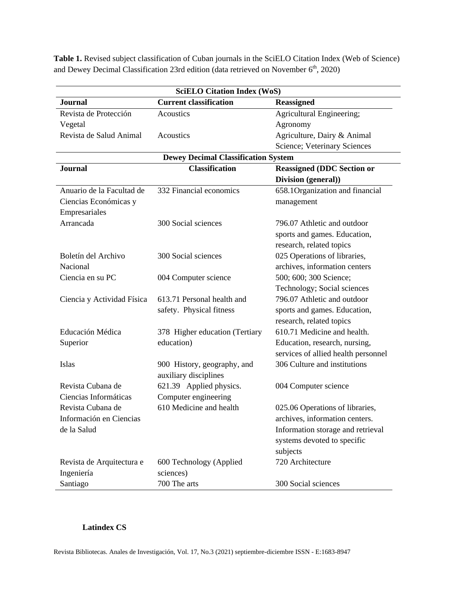**Table 1.** Revised subject classification of Cuban journals in the SciELO Citation Index (Web of Science) and Dewey Decimal Classification 23rd edition (data retrieved on November 6<sup>th</sup>, 2020)

| <b>SciELO Citation Index (WoS)</b>         |                                                      |                                     |  |  |  |
|--------------------------------------------|------------------------------------------------------|-------------------------------------|--|--|--|
| <b>Journal</b>                             | <b>Current classification</b>                        | <b>Reassigned</b>                   |  |  |  |
| Revista de Protección                      | Acoustics                                            | Agricultural Engineering;           |  |  |  |
| Vegetal                                    |                                                      | Agronomy                            |  |  |  |
| Revista de Salud Animal                    | Acoustics                                            | Agriculture, Dairy & Animal         |  |  |  |
|                                            |                                                      | Science; Veterinary Sciences        |  |  |  |
| <b>Dewey Decimal Classification System</b> |                                                      |                                     |  |  |  |
| <b>Journal</b>                             | <b>Classification</b>                                | <b>Reassigned (DDC Section or</b>   |  |  |  |
|                                            |                                                      | Division (general))                 |  |  |  |
| Anuario de la Facultad de                  | 332 Financial economics                              | 658.1 Organization and financial    |  |  |  |
| Ciencias Económicas y                      |                                                      | management                          |  |  |  |
| Empresariales                              |                                                      |                                     |  |  |  |
| Arrancada                                  | 300 Social sciences                                  | 796.07 Athletic and outdoor         |  |  |  |
|                                            |                                                      | sports and games. Education,        |  |  |  |
|                                            |                                                      | research, related topics            |  |  |  |
| Boletín del Archivo                        | 300 Social sciences                                  | 025 Operations of libraries,        |  |  |  |
| Nacional                                   |                                                      | archives, information centers       |  |  |  |
| Ciencia en su PC                           | 004 Computer science                                 | 500; 600; 300 Science;              |  |  |  |
|                                            |                                                      | Technology; Social sciences         |  |  |  |
| Ciencia y Actividad Física                 | 613.71 Personal health and                           | 796.07 Athletic and outdoor         |  |  |  |
|                                            | safety. Physical fitness                             | sports and games. Education,        |  |  |  |
|                                            |                                                      | research, related topics            |  |  |  |
| Educación Médica                           | 378 Higher education (Tertiary                       | 610.71 Medicine and health.         |  |  |  |
| Superior                                   | education)                                           | Education, research, nursing,       |  |  |  |
|                                            |                                                      | services of allied health personnel |  |  |  |
| Islas                                      | 900 History, geography, and<br>auxiliary disciplines | 306 Culture and institutions        |  |  |  |
| Revista Cubana de                          | 621.39 Applied physics.                              | 004 Computer science                |  |  |  |
| Ciencias Informáticas                      | Computer engineering                                 |                                     |  |  |  |
| Revista Cubana de                          | 610 Medicine and health                              | 025.06 Operations of libraries,     |  |  |  |
| Información en Ciencias                    |                                                      | archives, information centers.      |  |  |  |
| de la Salud                                |                                                      | Information storage and retrieval   |  |  |  |
|                                            |                                                      | systems devoted to specific         |  |  |  |
|                                            |                                                      | subjects                            |  |  |  |
| Revista de Arquitectura e                  | 600 Technology (Applied                              | 720 Architecture                    |  |  |  |
| Ingeniería                                 | sciences)                                            |                                     |  |  |  |
| Santiago                                   | 700 The arts                                         | 300 Social sciences                 |  |  |  |

# **Latindex CS**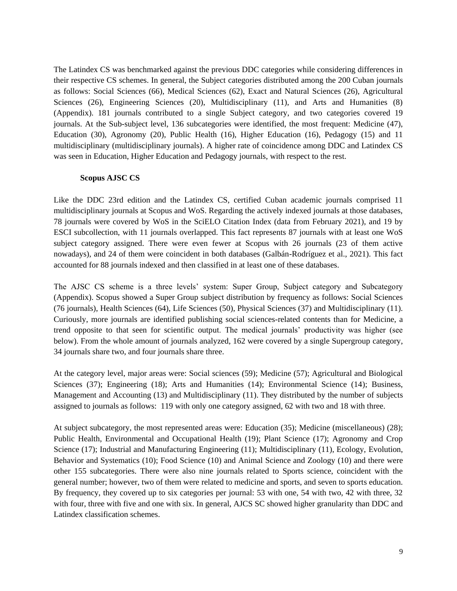The Latindex CS was benchmarked against the previous DDC categories while considering differences in their respective CS schemes. In general, the Subject categories distributed among the 200 Cuban journals as follows: Social Sciences (66), Medical Sciences (62), Exact and Natural Sciences (26), Agricultural Sciences (26), Engineering Sciences (20), Multidisciplinary (11), and Arts and Humanities (8) (Appendix). 181 journals contributed to a single Subject category, and two categories covered 19 journals. At the Sub-subject level, 136 subcategories were identified, the most frequent: Medicine (47), Education (30), Agronomy (20), Public Health (16), Higher Education (16), Pedagogy (15) and 11 multidisciplinary (multidisciplinary journals). A higher rate of coincidence among DDC and Latindex CS was seen in Education, Higher Education and Pedagogy journals, with respect to the rest.

#### **Scopus AJSC CS**

Like the DDC 23rd edition and the Latindex CS, certified Cuban academic journals comprised 11 multidisciplinary journals at Scopus and WoS. Regarding the actively indexed journals at those databases, 78 journals were covered by WoS in the SciELO Citation Index (data from February 2021), and 19 by ESCI subcollection, with 11 journals overlapped. This fact represents 87 journals with at least one WoS subject category assigned. There were even fewer at Scopus with 26 journals (23 of them active nowadays), and 24 of them were coincident in both databases (Galbán-Rodríguez et al., 2021). This fact accounted for 88 journals indexed and then classified in at least one of these databases.

The AJSC CS scheme is a three levels' system: Super Group, Subject category and Subcategory (Appendix). Scopus showed a Super Group subject distribution by frequency as follows: Social Sciences (76 journals), Health Sciences (64), Life Sciences (50), Physical Sciences (37) and Multidisciplinary (11). Curiously, more journals are identified publishing social sciences-related contents than for Medicine, a trend opposite to that seen for scientific output. The medical journals' productivity was higher (see below). From the whole amount of journals analyzed, 162 were covered by a single Supergroup category, 34 journals share two, and four journals share three.

At the category level, major areas were: Social sciences (59); Medicine (57); Agricultural and Biological Sciences (37); Engineering (18); Arts and Humanities (14); Environmental Science (14); Business, Management and Accounting (13) and Multidisciplinary (11). They distributed by the number of subjects assigned to journals as follows: 119 with only one category assigned, 62 with two and 18 with three.

At subject subcategory, the most represented areas were: Education (35); Medicine (miscellaneous) (28); Public Health, Environmental and Occupational Health (19); Plant Science (17); Agronomy and Crop Science (17); Industrial and Manufacturing Engineering (11); Multidisciplinary (11), Ecology, Evolution, Behavior and Systematics (10); Food Science (10) and Animal Science and Zoology (10) and there were other 155 subcategories. There were also nine journals related to Sports science, coincident with the general number; however, two of them were related to medicine and sports, and seven to sports education. By frequency, they covered up to six categories per journal: 53 with one, 54 with two, 42 with three, 32 with four, three with five and one with six. In general, AJCS SC showed higher granularity than DDC and Latindex classification schemes.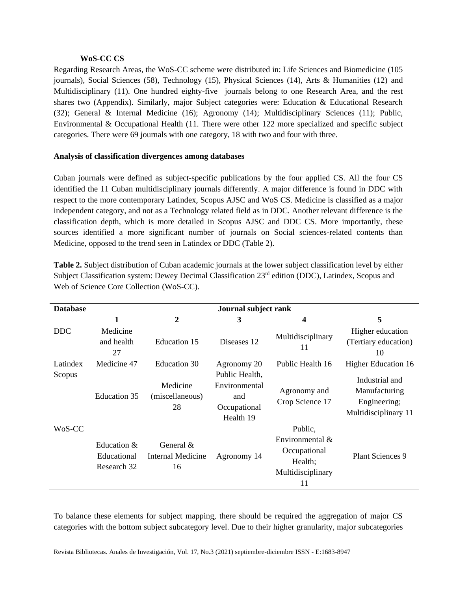#### **WoS-CC CS**

Regarding Research Areas, the WoS-CC scheme were distributed in: Life Sciences and Biomedicine (105 journals), Social Sciences (58), Technology (15), Physical Sciences (14), Arts & Humanities (12) and Multidisciplinary (11). One hundred eighty-five journals belong to one Research Area, and the rest shares two (Appendix). Similarly, major Subject categories were: Education & Educational Research (32); General & Internal Medicine (16); Agronomy (14); Multidisciplinary Sciences (11); Public, Environmental & Occupational Health (11. There were other 122 more specialized and specific subject categories. There were 69 journals with one category, 18 with two and four with three.

# **Analysis of classification divergences among databases**

Cuban journals were defined as subject-specific publications by the four applied CS. All the four CS identified the 11 Cuban multidisciplinary journals differently. A major difference is found in DDC with respect to the more contemporary Latindex, Scopus AJSC and WoS CS. Medicine is classified as a major independent category, and not as a Technology related field as in DDC. Another relevant difference is the classification depth, which is more detailed in Scopus AJSC and DDC CS. More importantly, these sources identified a more significant number of journals on Social sciences-related contents than Medicine, opposed to the trend seen in Latindex or DDC (Table 2).

| <b>Database</b>    |                                           | Journal subject rank                              |                                                                                    |                                                                                     |                                                                                                       |
|--------------------|-------------------------------------------|---------------------------------------------------|------------------------------------------------------------------------------------|-------------------------------------------------------------------------------------|-------------------------------------------------------------------------------------------------------|
|                    |                                           | $\overline{2}$                                    | 3                                                                                  | 4                                                                                   | 5                                                                                                     |
| <b>DDC</b>         | Medicine<br>and health<br>27              | Education 15                                      | Diseases 12                                                                        | Multidisciplinary<br>11                                                             | Higher education<br>(Tertiary education)<br>10                                                        |
| Latindex<br>Scopus | Medicine 47<br>Education 35               | Education 30<br>Medicine<br>(miscellaneous)<br>28 | Agronomy 20<br>Public Health,<br>Environmental<br>and<br>Occupational<br>Health 19 | Public Health 16<br>Agronomy and<br>Crop Science 17                                 | <b>Higher Education 16</b><br>Industrial and<br>Manufacturing<br>Engineering;<br>Multidisciplinary 11 |
| WoS-CC             | Education &<br>Educational<br>Research 32 | General $&$<br><b>Internal Medicine</b><br>16     | Agronomy 14                                                                        | Public,<br>Environmental $\&$<br>Occupational<br>Health;<br>Multidisciplinary<br>11 | <b>Plant Sciences 9</b>                                                                               |

**Table 2.** Subject distribution of Cuban academic journals at the lower subject classification level by either Subject Classification system: Dewey Decimal Classification 23<sup>rd</sup> edition (DDC), Latindex, Scopus and Web of Science Core Collection (WoS-CC).

To balance these elements for subject mapping, there should be required the aggregation of major CS categories with the bottom subject subcategory level. Due to their higher granularity, major subcategories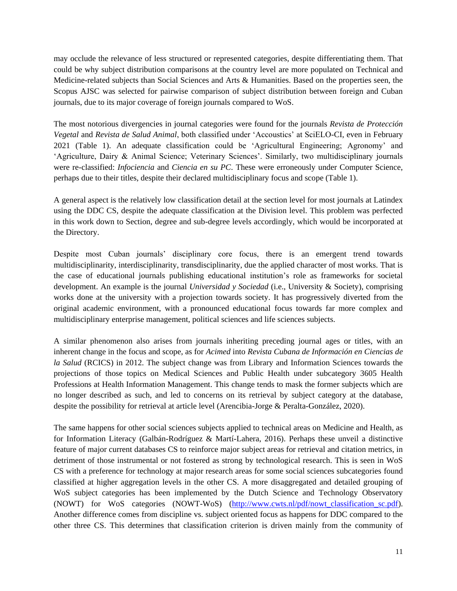may occlude the relevance of less structured or represented categories, despite differentiating them. That could be why subject distribution comparisons at the country level are more populated on Technical and Medicine-related subjects than Social Sciences and Arts & Humanities. Based on the properties seen, the Scopus AJSC was selected for pairwise comparison of subject distribution between foreign and Cuban journals, due to its major coverage of foreign journals compared to WoS.

The most notorious divergencies in journal categories were found for the journals *Revista de Protección Vegetal* and *Revista de Salud Animal*, both classified under 'Accoustics' at SciELO-CI, even in February 2021 (Table 1). An adequate classification could be 'Agricultural Engineering; Agronomy' and 'Agriculture, Dairy & Animal Science; Veterinary Sciences'. Similarly, two multidisciplinary journals were re-classified: *Infociencia* and *Ciencia en su PC*. These were erroneously under Computer Science, perhaps due to their titles, despite their declared multidisciplinary focus and scope (Table 1).

A general aspect is the relatively low classification detail at the section level for most journals at Latindex using the DDC CS, despite the adequate classification at the Division level. This problem was perfected in this work down to Section, degree and sub-degree levels accordingly, which would be incorporated at the Directory.

Despite most Cuban journals' disciplinary core focus, there is an emergent trend towards multidisciplinarity, interdisciplinarity, transdisciplinarity, due the applied character of most works. That is the case of educational journals publishing educational institution's role as frameworks for societal development. An example is the journal *Universidad y Sociedad* (i.e., University & Society), comprising works done at the university with a projection towards society. It has progressively diverted from the original academic environment, with a pronounced educational focus towards far more complex and multidisciplinary enterprise management, political sciences and life sciences subjects.

A similar phenomenon also arises from journals inheriting preceding journal ages or titles, with an inherent change in the focus and scope, as for *Acimed* into *Revista Cubana de Información en Ciencias de la Salud* (RCICS) in 2012. The subject change was from Library and Information Sciences towards the projections of those topics on Medical Sciences and Public Health under subcategory 3605 Health Professions at Health Information Management. This change tends to mask the former subjects which are no longer described as such, and led to concerns on its retrieval by subject category at the database, despite the possibility for retrieval at article level (Arencibia-Jorge & Peralta-González, 2020).

The same happens for other social sciences subjects applied to technical areas on Medicine and Health, as for Information Literacy (Galbán-Rodríguez & Martí-Lahera, 2016). Perhaps these unveil a distinctive feature of major current databases CS to reinforce major subject areas for retrieval and citation metrics, in detriment of those instrumental or not fostered as strong by technological research. This is seen in WoS CS with a preference for technology at major research areas for some social sciences subcategories found classified at higher aggregation levels in the other CS. A more disaggregated and detailed grouping of WoS subject categories has been implemented by the Dutch Science and Technology Observatory (NOWT) for WoS categories (NOWT-WoS) [\(http://www.cwts.nl/pdf/nowt\\_classification\\_sc.pdf\)](http://www.cwts.nl/pdf/nowt_classification_sc.pdf). Another difference comes from discipline vs. subject oriented focus as happens for DDC compared to the other three CS. This determines that classification criterion is driven mainly from the community of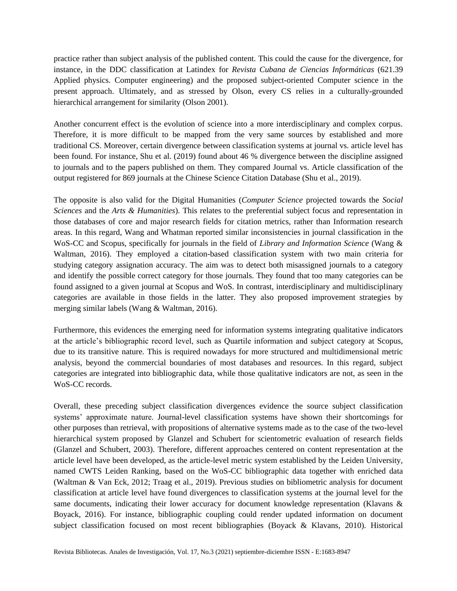practice rather than subject analysis of the published content. This could the cause for the divergence, for instance, in the DDC classification at Latindex for *Revista Cubana de Ciencias Informáticas* (621.39 Applied physics. Computer engineering) and the proposed subject-oriented Computer science in the present approach. Ultimately, and as stressed by Olson, every CS relies in a culturally-grounded hierarchical arrangement for similarity (Olson 2001).

Another concurrent effect is the evolution of science into a more interdisciplinary and complex corpus. Therefore, it is more difficult to be mapped from the very same sources by established and more traditional CS. Moreover, certain divergence between classification systems at journal vs. article level has been found. For instance, Shu et al. (2019) found about 46 % divergence between the discipline assigned to journals and to the papers published on them. They compared Journal vs. Article classification of the output registered for 869 journals at the Chinese Science Citation Database (Shu et al., 2019).

The opposite is also valid for the Digital Humanities (*Computer Science* projected towards the *Social Sciences* and the *Arts & Humanities*). This relates to the preferential subject focus and representation in those databases of core and major research fields for citation metrics, rather than Information research areas. In this regard, Wang and Whatman reported similar inconsistencies in journal classification in the WoS-CC and Scopus, specifically for journals in the field of *Library and Information Science* (Wang & Waltman, 2016). They employed a citation-based classification system with two main criteria for studying category assignation accuracy. The aim was to detect both misassigned journals to a category and identify the possible correct category for those journals. They found that too many categories can be found assigned to a given journal at Scopus and WoS. In contrast, interdisciplinary and multidisciplinary categories are available in those fields in the latter. They also proposed improvement strategies by merging similar labels (Wang & Waltman, 2016).

Furthermore, this evidences the emerging need for information systems integrating qualitative indicators at the article's bibliographic record level, such as Quartile information and subject category at Scopus, due to its transitive nature. This is required nowadays for more structured and multidimensional metric analysis, beyond the commercial boundaries of most databases and resources. In this regard, subject categories are integrated into bibliographic data, while those qualitative indicators are not, as seen in the WoS-CC records.

Overall, these preceding subject classification divergences evidence the source subject classification systems' approximate nature. Journal-level classification systems have shown their shortcomings for other purposes than retrieval, with propositions of alternative systems made as to the case of the two-level hierarchical system proposed by Glanzel and Schubert for scientometric evaluation of research fields (Glanzel and Schubert, 2003). Therefore, different approaches centered on content representation at the article level have been developed, as the article-level metric system established by the Leiden University, named CWTS Leiden Ranking, based on the WoS-CC bibliographic data together with enriched data (Waltman & Van Eck, 2012; Traag et al., 2019). Previous studies on bibliometric analysis for document classification at article level have found divergences to classification systems at the journal level for the same documents, indicating their lower accuracy for document knowledge representation (Klavans & Boyack, 2016). For instance, bibliographic coupling could render updated information on document subject classification focused on most recent bibliographies (Boyack & Klavans, 2010). Historical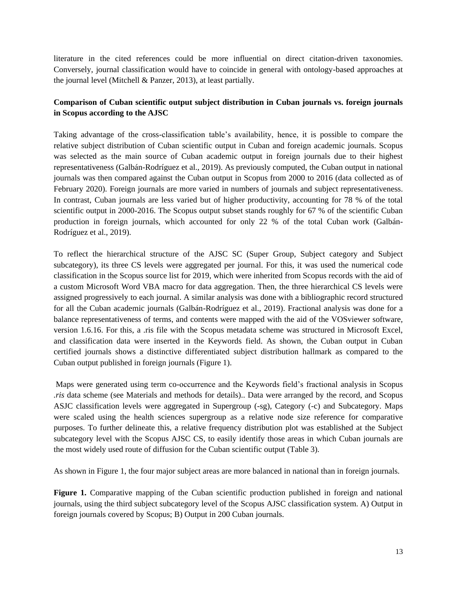literature in the cited references could be more influential on direct citation-driven taxonomies. Conversely, journal classification would have to coincide in general with ontology-based approaches at the journal level (Mitchell & Panzer, 2013), at least partially.

# **Comparison of Cuban scientific output subject distribution in Cuban journals vs. foreign journals in Scopus according to the AJSC**

Taking advantage of the cross-classification table's availability, hence, it is possible to compare the relative subject distribution of Cuban scientific output in Cuban and foreign academic journals. Scopus was selected as the main source of Cuban academic output in foreign journals due to their highest representativeness (Galbán-Rodríguez et al., 2019). As previously computed, the Cuban output in national journals was then compared against the Cuban output in Scopus from 2000 to 2016 (data collected as of February 2020). Foreign journals are more varied in numbers of journals and subject representativeness. In contrast, Cuban journals are less varied but of higher productivity, accounting for 78 % of the total scientific output in 2000-2016. The Scopus output subset stands roughly for 67 % of the scientific Cuban production in foreign journals, which accounted for only 22 % of the total Cuban work (Galbán-Rodríguez et al., 2019).

To reflect the hierarchical structure of the AJSC SC (Super Group, Subject category and Subject subcategory), its three CS levels were aggregated per journal. For this, it was used the numerical code classification in the Scopus source list for 2019, which were inherited from Scopus records with the aid of a custom Microsoft Word VBA macro for data aggregation. Then, the three hierarchical CS levels were assigned progressively to each journal. A similar analysis was done with a bibliographic record structured for all the Cuban academic journals (Galbán-Rodríguez et al., 2019). Fractional analysis was done for a balance representativeness of terms, and contents were mapped with the aid of the VOSviewer software, version 1.6.16. For this, a .ris file with the Scopus metadata scheme was structured in Microsoft Excel, and classification data were inserted in the Keywords field. As shown, the Cuban output in Cuban certified journals shows a distinctive differentiated subject distribution hallmark as compared to the Cuban output published in foreign journals (Figure 1).

Maps were generated using term co-occurrence and the Keywords field's fractional analysis in Scopus *.ris* data scheme (see Materials and methods for details).. Data were arranged by the record, and Scopus ASJC classification levels were aggregated in Supergroup (-sg), Category (-c) and Subcategory. Maps were scaled using the health sciences supergroup as a relative node size reference for comparative purposes. To further delineate this, a relative frequency distribution plot was established at the Subject subcategory level with the Scopus AJSC CS, to easily identify those areas in which Cuban journals are the most widely used route of diffusion for the Cuban scientific output (Table 3).

As shown in Figure 1, the four major subject areas are more balanced in national than in foreign journals.

**Figure 1.** Comparative mapping of the Cuban scientific production published in foreign and national journals, using the third subject subcategory level of the Scopus AJSC classification system. A) Output in foreign journals covered by Scopus; B) Output in 200 Cuban journals.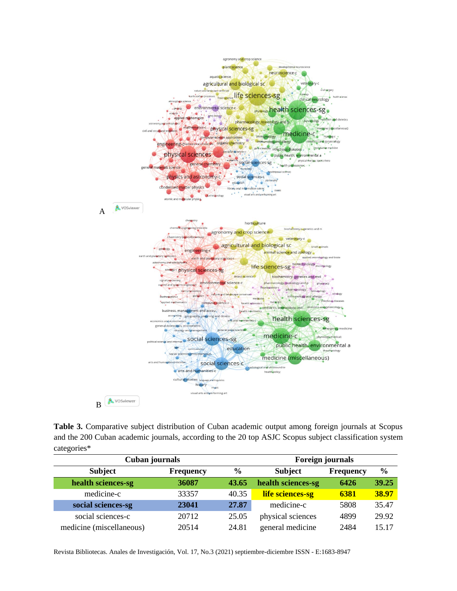

**Table 3.** Comparative subject distribution of Cuban academic output among foreign journals at Scopus and the 200 Cuban academic journals, according to the 20 top ASJC Scopus subject classification system categories\*

| Cuban journals           |                  |       | <b>Foreign journals</b> |                  |               |  |
|--------------------------|------------------|-------|-------------------------|------------------|---------------|--|
| <b>Subject</b>           | <b>Frequency</b> | $\%$  | <b>Subject</b>          | <b>Frequency</b> | $\frac{6}{6}$ |  |
| health sciences-sg       | 36087            | 43.65 | health sciences-sg      | 6426             | 39.25         |  |
| medicine-c               | 33357            | 40.35 | life sciences-sg        | 6381             | 38.97         |  |
| social sciences-sg       | 23041            | 27.87 | medicine-c              | 5808             | 35.47         |  |
| social sciences-c        | 20712            | 25.05 | physical sciences       | 4899             | 29.92         |  |
| medicine (miscellaneous) | 20514            | 24.81 | general medicine        | 2484             | 15.17         |  |

Revista Bibliotecas. Anales de Investigación, Vol. 17, No.3 (2021) septiembre-diciembre ISSN - E:1683-8947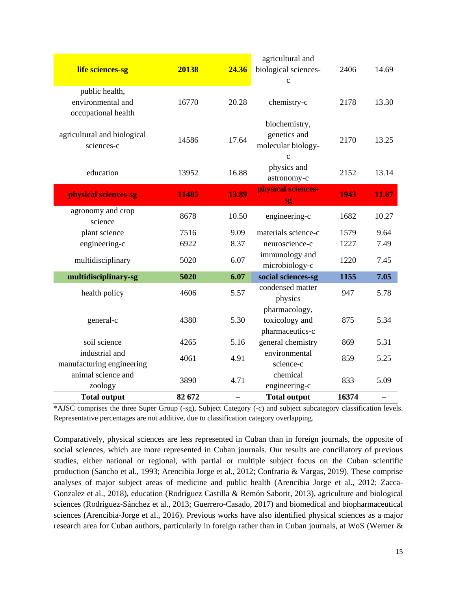| life sciences-sg            | 20138  | 24.36 | agricultural and<br>biological sciences- | 2406  | 14.69 |
|-----------------------------|--------|-------|------------------------------------------|-------|-------|
|                             |        |       | $\mathbf c$                              |       |       |
| public health,              |        |       |                                          |       |       |
| environmental and           | 16770  | 20.28 | chemistry-c                              | 2178  | 13.30 |
| occupational health         |        |       |                                          |       |       |
| agricultural and biological |        |       | biochemistry,<br>genetics and            |       |       |
| sciences-c                  | 14586  | 17.64 | molecular biology-                       | 2170  | 13.25 |
|                             |        |       | $\mathbf c$                              |       |       |
|                             |        |       | physics and                              |       |       |
| education                   | 13952  | 16.88 | astronomy-c                              | 2152  | 13.14 |
|                             |        |       | physical sciences-                       |       |       |
| physical sciences-sg        | 11485  | 13.89 | sg                                       | 1943  | 11.87 |
| agronomy and crop           | 8678   | 10.50 | engineering-c                            | 1682  | 10.27 |
| science                     |        |       |                                          |       |       |
| plant science               | 7516   | 9.09  | materials science-c                      | 1579  | 9.64  |
| engineering-c               | 6922   | 8.37  | neuroscience-c                           | 1227  | 7.49  |
| multidisciplinary           | 5020   | 6.07  | immunology and                           | 1220  | 7.45  |
|                             |        |       | microbiology-c                           |       |       |
| multidisciplinary-sg        | 5020   | 6.07  | social sciences-sg                       | 1155  | 7.05  |
| health policy               | 4606   | 5.57  | condensed matter                         | 947   | 5.78  |
|                             |        |       | physics                                  |       |       |
| general-c                   | 4380   | 5.30  | pharmacology,<br>toxicology and          | 875   | 5.34  |
|                             |        |       | pharmaceutics-c                          |       |       |
| soil science                | 4265   | 5.16  | general chemistry                        | 869   | 5.31  |
| industrial and              |        |       | environmental                            |       |       |
| manufacturing engineering   | 4061   | 4.91  | science-c                                | 859   | 5.25  |
| animal science and          |        |       | chemical                                 |       |       |
| zoology                     | 3890   | 4.71  | engineering-c                            | 833   | 5.09  |
| <b>Total output</b>         | 82 672 |       | <b>Total output</b>                      | 16374 |       |

\*AJSC comprises the three Super Group (-sg), Subject Category (-c) and subject subcategory classification levels. Representative percentages are not additive, due to classification category overlapping.

Comparatively, physical sciences are less represented in Cuban than in foreign journals, the opposite of social sciences, which are more represented in Cuban journals. Our results are conciliatory of previous studies, either national or regional, with partial or multiple subject focus on the Cuban scientific production (Sancho et al., 1993; Arencibia Jorge et al., 2012; Confraria & Vargas, 2019). These comprise analyses of major subject areas of medicine and public health (Arencibia Jorge et al., 2012; Zacca-Gonzalez et al., 2018), education (Rodríguez Castilla & Remón Saborit, 2013), agriculture and biological sciences (Rodríguez-Sánchez et al., 2013; Guerrero-Casado, 2017) and biomedical and biopharmaceutical sciences (Arencibia-Jorge et al., 2016). Previous works have also identified physical sciences as a major research area for Cuban authors, particularly in foreign rather than in Cuban journals, at WoS (Werner &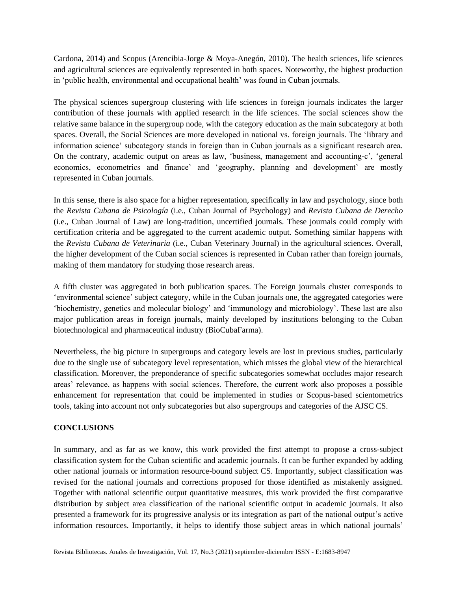Cardona, 2014) and Scopus (Arencibia-Jorge & Moya-Anegón, 2010). The health sciences, life sciences and agricultural sciences are equivalently represented in both spaces. Noteworthy, the highest production in 'public health, environmental and occupational health' was found in Cuban journals.

The physical sciences supergroup clustering with life sciences in foreign journals indicates the larger contribution of these journals with applied research in the life sciences. The social sciences show the relative same balance in the supergroup node, with the category education as the main subcategory at both spaces. Overall, the Social Sciences are more developed in national vs. foreign journals. The 'library and information science' subcategory stands in foreign than in Cuban journals as a significant research area. On the contrary, academic output on areas as law, 'business, management and accounting-c', 'general economics, econometrics and finance' and 'geography, planning and development' are mostly represented in Cuban journals.

In this sense, there is also space for a higher representation, specifically in law and psychology, since both the *Revista Cubana de Psicología* (i.e., Cuban Journal of Psychology) and *Revista Cubana de Derecho* (i.e., Cuban Journal of Law) are long-tradition, uncertified journals. These journals could comply with certification criteria and be aggregated to the current academic output. Something similar happens with the *Revista Cubana de Veterinaria* (i.e., Cuban Veterinary Journal) in the agricultural sciences. Overall, the higher development of the Cuban social sciences is represented in Cuban rather than foreign journals, making of them mandatory for studying those research areas.

A fifth cluster was aggregated in both publication spaces. The Foreign journals cluster corresponds to 'environmental science' subject category, while in the Cuban journals one, the aggregated categories were 'biochemistry, genetics and molecular biology' and 'immunology and microbiology'. These last are also major publication areas in foreign journals, mainly developed by institutions belonging to the Cuban biotechnological and pharmaceutical industry (BioCubaFarma).

Nevertheless, the big picture in supergroups and category levels are lost in previous studies, particularly due to the single use of subcategory level representation, which misses the global view of the hierarchical classification. Moreover, the preponderance of specific subcategories somewhat occludes major research areas' relevance, as happens with social sciences. Therefore, the current work also proposes a possible enhancement for representation that could be implemented in studies or Scopus-based scientometrics tools, taking into account not only subcategories but also supergroups and categories of the AJSC CS.

# **CONCLUSIONS**

In summary, and as far as we know, this work provided the first attempt to propose a cross-subject classification system for the Cuban scientific and academic journals. It can be further expanded by adding other national journals or information resource-bound subject CS. Importantly, subject classification was revised for the national journals and corrections proposed for those identified as mistakenly assigned. Together with national scientific output quantitative measures, this work provided the first comparative distribution by subject area classification of the national scientific output in academic journals. It also presented a framework for its progressive analysis or its integration as part of the national output's active information resources. Importantly, it helps to identify those subject areas in which national journals'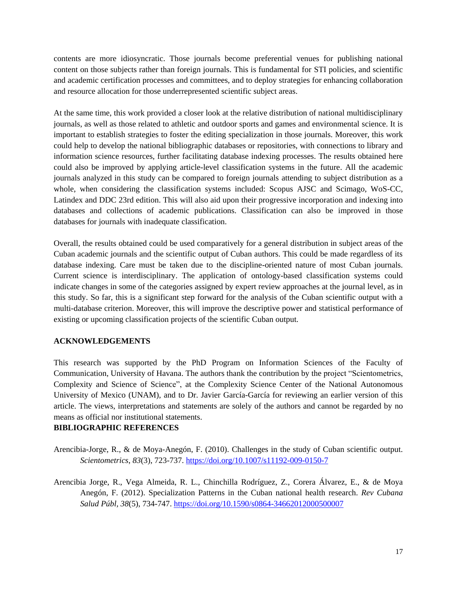contents are more idiosyncratic. Those journals become preferential venues for publishing national content on those subjects rather than foreign journals. This is fundamental for STI policies, and scientific and academic certification processes and committees, and to deploy strategies for enhancing collaboration and resource allocation for those underrepresented scientific subject areas.

At the same time, this work provided a closer look at the relative distribution of national multidisciplinary journals, as well as those related to athletic and outdoor sports and games and environmental science. It is important to establish strategies to foster the editing specialization in those journals. Moreover, this work could help to develop the national bibliographic databases or repositories, with connections to library and information science resources, further facilitating database indexing processes. The results obtained here could also be improved by applying article-level classification systems in the future. All the academic journals analyzed in this study can be compared to foreign journals attending to subject distribution as a whole, when considering the classification systems included: Scopus AJSC and Scimago, WoS-CC, Latindex and DDC 23rd edition. This will also aid upon their progressive incorporation and indexing into databases and collections of academic publications. Classification can also be improved in those databases for journals with inadequate classification.

Overall, the results obtained could be used comparatively for a general distribution in subject areas of the Cuban academic journals and the scientific output of Cuban authors. This could be made regardless of its database indexing. Care must be taken due to the discipline-oriented nature of most Cuban journals. Current science is interdisciplinary. The application of ontology-based classification systems could indicate changes in some of the categories assigned by expert review approaches at the journal level, as in this study. So far, this is a significant step forward for the analysis of the Cuban scientific output with a multi-database criterion. Moreover, this will improve the descriptive power and statistical performance of existing or upcoming classification projects of the scientific Cuban output.

# **ACKNOWLEDGEMENTS**

This research was supported by the PhD Program on Information Sciences of the Faculty of Communication, University of Havana. The authors thank the contribution by the project "Scientometrics, Complexity and Science of Science", at the Complexity Science Center of the National Autonomous University of Mexico (UNAM), and to Dr. Javier García-García for reviewing an earlier version of this article. The views, interpretations and statements are solely of the authors and cannot be regarded by no means as official nor institutional statements.

# **BIBLIOGRAPHIC REFERENCES**

- Arencibia-Jorge, R., & de Moya-Anegón, F. (2010). Challenges in the study of Cuban scientific output. *Scientometrics*, *83*(3), 723-737. <https://doi.org/10.1007/s11192-009-0150-7>
- Arencibia Jorge, R., Vega Almeida, R. L., Chinchilla Rodríguez, Z., Corera Álvarez, E., & de Moya Anegón, F. (2012). Specialization Patterns in the Cuban national health research. *Rev Cubana Salud Públ, 38*(5), 734-747. <https://doi.org/10.1590/s0864-34662012000500007>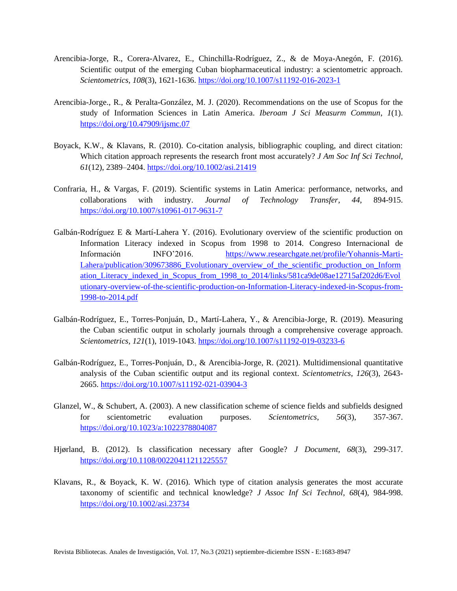- Arencibia-Jorge, R., Corera-Alvarez, E., Chinchilla-Rodríguez, Z., & de Moya-Anegón, F. (2016). Scientific output of the emerging Cuban biopharmaceutical industry: a scientometric approach. *Scientometrics, 108*(3), 1621-1636. <https://doi.org/10.1007/s11192-016-2023-1>
- Arencibia-Jorge., R., & Peralta-González, M. J. (2020). Recommendations on the use of Scopus for the study of Information Sciences in Latin America. *Iberoam J Sci Measurm Commun*, *1*(1). <https://doi.org/10.47909/ijsmc.07>
- Boyack, K.W., & Klavans, R. (2010). Co-citation analysis, bibliographic coupling, and direct citation: Which citation approach represents the research front most accurately? *J Am Soc Inf Sci Technol*, *61*(12), 2389–2404. <https://doi.org/10.1002/asi.21419>
- Confraria, H., & Vargas, F. (2019). Scientific systems in Latin America: performance, networks, and collaborations with industry. *Journal of Technology Transfer*, *44*, 894-915. <https://doi.org/10.1007/s10961-017-9631-7>
- Galbán-Rodríguez E & Martí-Lahera Y. (2016). Evolutionary overview of the scientific production on Information Literacy indexed in Scopus from 1998 to 2014. Congreso Internacional de Información INFO'2016. [https://www.researchgate.net/profile/Yohannis-Marti-](https://www.researchgate.net/profile/Yohannis-Marti-Lahera/publication/309673886_Evolutionary_overview_of_the_scientific_production_on_Information_Literacy_indexed_in_Scopus_from_1998_to_2014/links/581ca9de08ae12715af202d6/Evolutionary-overview-of-the-scientific-production-on-Information-Literacy-indexed-in-Scopus-from-1998-to-2014.pdf)[Lahera/publication/309673886\\_Evolutionary\\_overview\\_of\\_the\\_scientific\\_production\\_on\\_Inform](https://www.researchgate.net/profile/Yohannis-Marti-Lahera/publication/309673886_Evolutionary_overview_of_the_scientific_production_on_Information_Literacy_indexed_in_Scopus_from_1998_to_2014/links/581ca9de08ae12715af202d6/Evolutionary-overview-of-the-scientific-production-on-Information-Literacy-indexed-in-Scopus-from-1998-to-2014.pdf) [ation\\_Literacy\\_indexed\\_in\\_Scopus\\_from\\_1998\\_to\\_2014/links/581ca9de08ae12715af202d6/Evol](https://www.researchgate.net/profile/Yohannis-Marti-Lahera/publication/309673886_Evolutionary_overview_of_the_scientific_production_on_Information_Literacy_indexed_in_Scopus_from_1998_to_2014/links/581ca9de08ae12715af202d6/Evolutionary-overview-of-the-scientific-production-on-Information-Literacy-indexed-in-Scopus-from-1998-to-2014.pdf) [utionary-overview-of-the-scientific-production-on-Information-Literacy-indexed-in-Scopus-from-](https://www.researchgate.net/profile/Yohannis-Marti-Lahera/publication/309673886_Evolutionary_overview_of_the_scientific_production_on_Information_Literacy_indexed_in_Scopus_from_1998_to_2014/links/581ca9de08ae12715af202d6/Evolutionary-overview-of-the-scientific-production-on-Information-Literacy-indexed-in-Scopus-from-1998-to-2014.pdf)[1998-to-2014.pdf](https://www.researchgate.net/profile/Yohannis-Marti-Lahera/publication/309673886_Evolutionary_overview_of_the_scientific_production_on_Information_Literacy_indexed_in_Scopus_from_1998_to_2014/links/581ca9de08ae12715af202d6/Evolutionary-overview-of-the-scientific-production-on-Information-Literacy-indexed-in-Scopus-from-1998-to-2014.pdf)
- Galbán-Rodríguez, E., Torres-Ponjuán, D., Martí-Lahera, Y., & Arencibia-Jorge, R. (2019). Measuring the Cuban scientific output in scholarly journals through a comprehensive coverage approach. *Scientometrics, 121*(1), 1019-1043. <https://doi.org/10.1007/s11192-019-03233-6>
- Galbán-Rodríguez, E., Torres-Ponjuán, D., & Arencibia-Jorge, R. (2021). Multidimensional quantitative analysis of the Cuban scientific output and its regional context. *Scientometrics*, *126*(3), 2643- 2665. <https://doi.org/10.1007/s11192-021-03904-3>
- Glanzel, W., & Schubert, A. (2003). A new classification scheme of science fields and subfields designed for scientometric evaluation purposes. *Scientometrics*, *56*(3), 357-367. <https://doi.org/10.1023/a:1022378804087>
- Hjørland, B. (2012). Is classification necessary after Google? *J Document*, *68*(3), 299-317. <https://doi.org/10.1108/00220411211225557>
- Klavans, R., & Boyack, K. W. (2016). Which type of citation analysis generates the most accurate taxonomy of scientific and technical knowledge? *J Assoc Inf Sci Technol*, *68*(4), 984-998. <https://doi.org/10.1002/asi.23734>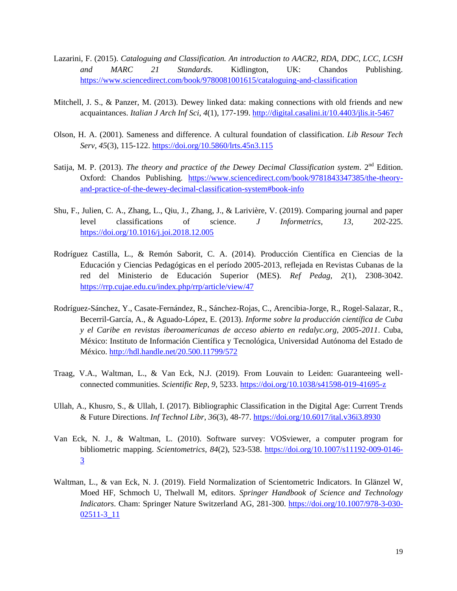- Lazarini, F. (2015). *Cataloguing and Classification. An introduction to AACR2, RDA, DDC, LCC, LCSH and MARC 21 Standards*. Kidlington, UK: Chandos Publishing. <https://www.sciencedirect.com/book/9780081001615/cataloguing-and-classification>
- Mitchell, J. S., & Panzer, M. (2013). Dewey linked data: making connections with old friends and new acquaintances. *Italian J Arch Inf Sci*, *4*(1), 177-199. <http://digital.casalini.it/10.4403/jlis.it-5467>
- Olson, H. A. (2001). Sameness and difference. A cultural foundation of classification. *Lib Resour Tech Serv, 45*(3), 115-122.<https://doi.org/10.5860/lrts.45n3.115>
- Satija, M. P. (2013). *The theory and practice of the Dewey Decimal Classification system.* 2<sup>nd</sup> Edition. Oxford: Chandos Publishing. [https://www.sciencedirect.com/book/9781843347385/the-theory](https://www.sciencedirect.com/book/9781843347385/the-theory-and-practice-of-the-dewey-decimal-classification-system#book-info)[and-practice-of-the-dewey-decimal-classification-system#book-info](https://www.sciencedirect.com/book/9781843347385/the-theory-and-practice-of-the-dewey-decimal-classification-system#book-info)
- Shu, F., Julien, C. A., Zhang, L., Qiu, J., Zhang, J., & Larivière, V. (2019). Comparing journal and paper level classifications of science. *J Informetrics*, *13*, 202-225. <https://doi.org/10.1016/j.joi.2018.12.005>
- Rodríguez Castilla, L., & Remón Saborit, C. A. (2014). Producción Científica en Ciencias de la Educación y Ciencias Pedagógicas en el período 2005-2013, reflejada en Revistas Cubanas de la red del Ministerio de Educación Superior (MES). *Ref Pedag, 2*(1), 2308-3042. <https://rrp.cujae.edu.cu/index.php/rrp/article/view/47>
- Rodríguez-Sánchez, Y., Casate-Fernández, R., Sánchez-Rojas, C., Arencibia-Jorge, R., Rogel-Salazar, R., Becerril-García, A., & Aguado-López, E. (2013). *Informe sobre la producción científica de Cuba y el Caribe en revistas iberoamericanas de acceso abierto en redalyc.org, 2005-2011*. Cuba, México: Instituto de Información Científica y Tecnológica, Universidad Autónoma del Estado de México. <http://hdl.handle.net/20.500.11799/572>
- Traag, V.A., Waltman, L., & Van Eck, N.J. (2019). From Louvain to Leiden: Guaranteeing wellconnected communities. *Scientific Rep*, *9*, 5233. <https://doi.org/10.1038/s41598-019-41695-z>
- Ullah, A., Khusro, S., & Ullah, I. (2017). Bibliographic Classification in the Digital Age: Current Trends & Future Directions. *Inf Technol Libr*, *36*(3), 48-77. <https://doi.org/10.6017/ital.v36i3.8930>
- Van Eck, N. J., & Waltman, L. (2010). Software survey: VOSviewer, a computer program for bibliometric mapping. *Scientometrics*, *84*(2), 523-538. [https://doi.org/10.1007/s11192-009-0146-](https://doi.org/10.1007/s11192-009-0146-3) [3](https://doi.org/10.1007/s11192-009-0146-3)
- Waltman, L., & van Eck, N. J. (2019). Field Normalization of Scientometric Indicators. In Glänzel W, Moed HF, Schmoch U, Thelwall M, editors. *Springer Handbook of Science and Technology Indicators*. Cham: Springer Nature Switzerland AG, 281-300. [https://doi.org/10.1007/978-3-030-](https://doi.org/10.1007/978-3-030-02511-3_11) [02511-3\\_11](https://doi.org/10.1007/978-3-030-02511-3_11)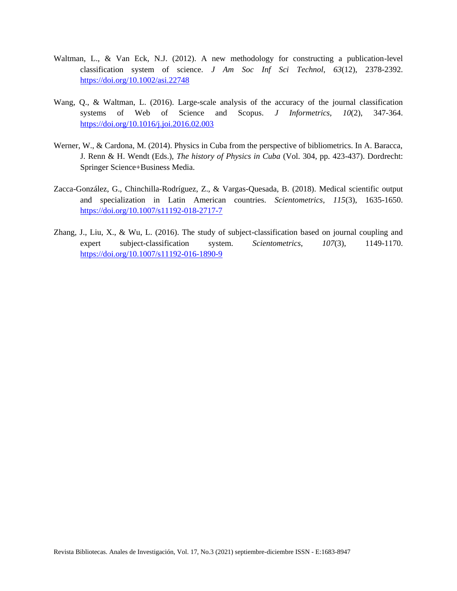- Waltman, L., & Van Eck, N.J. (2012). A new methodology for constructing a publication-level classification system of science. *J Am Soc Inf Sci Technol*, *63*(12), 2378-2392. <https://doi.org/10.1002/asi.22748>
- Wang, Q., & Waltman, L. (2016). Large-scale analysis of the accuracy of the journal classification systems of Web of Science and Scopus. *J Informetrics*, *10*(2), 347-364. <https://doi.org/10.1016/j.joi.2016.02.003>
- Werner, W., & Cardona, M. (2014). Physics in Cuba from the perspective of bibliometrics. In A. Baracca, J. Renn & H. Wendt (Eds.), *The history of Physics in Cuba* (Vol. 304, pp. 423-437). Dordrecht: Springer Science+Business Media.
- Zacca-González, G., Chinchilla-Rodríguez, Z., & Vargas-Quesada, B. (2018). Medical scientific output and specialization in Latin American countries. *Scientometrics, 115*(3), 1635-1650. <https://doi.org/10.1007/s11192-018-2717-7>
- Zhang, J., Liu, X., & Wu, L. (2016). The study of subject-classification based on journal coupling and expert subject-classification system. *Scientometrics*, *107*(3), 1149-1170. <https://doi.org/10.1007/s11192-016-1890-9>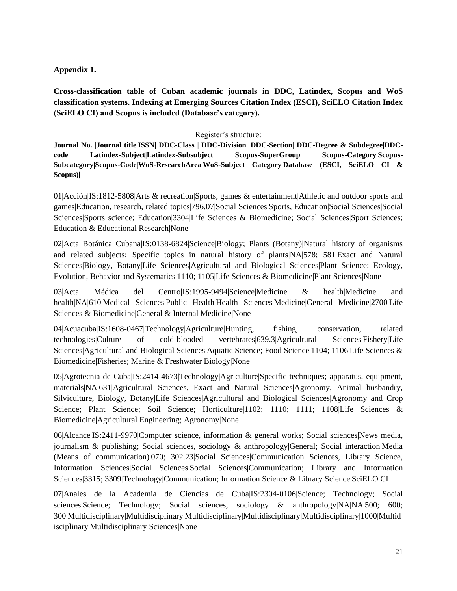# **Appendix 1.**

**Cross-classification table of Cuban academic journals in DDC, Latindex, Scopus and WoS classification systems. Indexing at Emerging Sources Citation Index (ESCI), SciELO Citation Index (SciELO CI) and Scopus is included (Database's category).**

# Register's structure:

**Journal No. |Journal title|ISSN| DDC-Class | DDC-Division| DDC-Section| DDC-Degree & Subdegree|DDCcode| Latindex-Subject|Latindex-Subsubject| Scopus-SuperGroup| Scopus-Category|Scopus-Subcategory|Scopus-Code|WoS-ResearchArea|WoS-Subject Category|Database (ESCI, SciELO CI & Scopus)|**

01|Acción|IS:1812-5808|Arts & recreation|Sports, games & entertainment|Athletic and outdoor sports and games|Education, research, related topics|796.07|Social Sciences|Sports, Education|Social Sciences|Social Sciences|Sports science; Education|3304|Life Sciences & Biomedicine; Social Sciences|Sport Sciences; Education & Educational Research|None

02|Acta Botánica Cubana|IS:0138-6824|Science|Biology; Plants (Botany)|Natural history of organisms and related subjects; Specific topics in natural history of plants|NA|578; 581|Exact and Natural Sciences|Biology, Botany|Life Sciences|Agricultural and Biological Sciences|Plant Science; Ecology, Evolution, Behavior and Systematics|1110; 1105|Life Sciences & Biomedicine|Plant Sciences|None

03|Acta Médica del Centro|IS:1995-9494|Science|Medicine & health|Medicine and health|NA|610|Medical Sciences|Public Health|Health Sciences|Medicine|General Medicine|2700|Life Sciences & Biomedicine|General & Internal Medicine|None

04|Acuacuba|IS:1608-0467|Technology|Agriculture|Hunting, fishing, conservation, related technologies|Culture of cold-blooded vertebrates|639.3|Agricultural Sciences|Fishery|Life Sciences|Agricultural and Biological Sciences|Aquatic Science; Food Science|1104; 1106|Life Sciences & Biomedicine|Fisheries; Marine & Freshwater Biology|None

05|Agrotecnia de Cuba|IS:2414-4673|Technology|Agriculture|Specific techniques; apparatus, equipment, materials|NA|631|Agricultural Sciences, Exact and Natural Sciences|Agronomy, Animal husbandry, Silviculture, Biology, Botany|Life Sciences|Agricultural and Biological Sciences|Agronomy and Crop Science; Plant Science; Soil Science; Horticulture|1102; 1110; 1111; 1108|Life Sciences & Biomedicine|Agricultural Engineering; Agronomy|None

06|Alcance|IS:2411-9970|Computer science, information & general works; Social sciences|News media, journalism & publishing; Social sciences, sociology & anthropology|General; Social interaction|Media (Means of communication)|070; 302.23|Social Sciences|Communication Sciences, Library Science, Information Sciences|Social Sciences|Social Sciences|Communication; Library and Information Sciences|3315; 3309|Technology|Communication; Information Science & Library Science|SciELO CI

07|Anales de la Academia de Ciencias de Cuba|IS:2304-0106|Science; Technology; Social sciences|Science; Technology; Social sciences, sociology & anthropology|NA|NA|500; 600; 300|Multidisciplinary|Multidisciplinary|Multidisciplinary|Multidisciplinary|Multidisciplinary|1000|Multid isciplinary|Multidisciplinary Sciences|None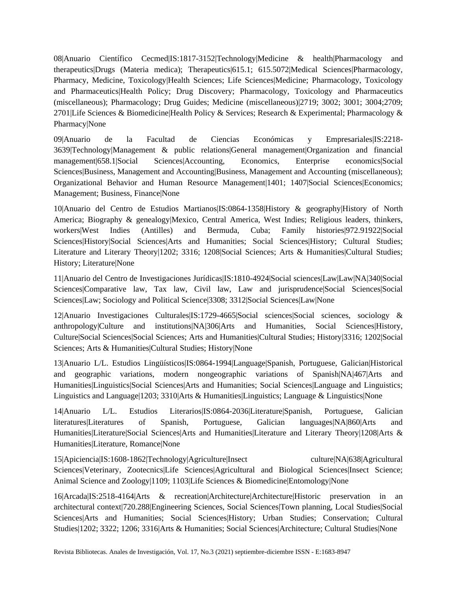08|Anuario Científico Cecmed|IS:1817-3152|Technology|Medicine & health|Pharmacology and therapeutics|Drugs (Materia medica); Therapeutics|615.1; 615.5072|Medical Sciences|Pharmacology, Pharmacy, Medicine, Toxicology|Health Sciences; Life Sciences|Medicine; Pharmacology, Toxicology and Pharmaceutics|Health Policy; Drug Discovery; Pharmacology, Toxicology and Pharmaceutics (miscellaneous); Pharmacology; Drug Guides; Medicine (miscellaneous)|2719; 3002; 3001; 3004;2709; 2701|Life Sciences & Biomedicine|Health Policy & Services; Research & Experimental; Pharmacology & Pharmacy|None

09|Anuario de la Facultad de Ciencias Económicas y Empresariales|IS:2218- 3639|Technology|Management & public relations|General management|Organization and financial management|658.1|Social Sciences|Accounting, Economics, Enterprise economics|Social Sciences|Business, Management and Accounting|Business, Management and Accounting (miscellaneous); Organizational Behavior and Human Resource Management|1401; 1407|Social Sciences|Economics; Management; Business, Finance|None

10|Anuario del Centro de Estudios Martianos|IS:0864-1358|History & geography|History of North America; Biography & genealogy|Mexico, Central America, West Indies; Religious leaders, thinkers, workers|West Indies (Antilles) and Bermuda, Cuba; Family histories|972.91922|Social Sciences|History|Social Sciences|Arts and Humanities; Social Sciences|History; Cultural Studies; Literature and Literary Theory|1202; 3316; 1208|Social Sciences; Arts & Humanities|Cultural Studies; History; Literature|None

11|Anuario del Centro de Investigaciones Jurídicas|IS:1810-4924|Social sciences|Law|Law|NA|340|Social Sciences|Comparative law, Tax law, Civil law, Law and jurisprudence|Social Sciences|Social Sciences|Law; Sociology and Political Science|3308; 3312|Social Sciences|Law|None

12|Anuario Investigaciones Culturales|IS:1729-4665|Social sciences|Social sciences, sociology & anthropology|Culture and institutions|NA|306|Arts and Humanities, Social Sciences|History, Culture|Social Sciences|Social Sciences; Arts and Humanities|Cultural Studies; History|3316; 1202|Social Sciences; Arts & Humanities|Cultural Studies; History|None

13|Anuario L/L. Estudios Lingüísticos|IS:0864-1994|Language|Spanish, Portuguese, Galician|Historical and geographic variations, modern nongeographic variations of Spanish|NA|467|Arts and Humanities|Linguistics|Social Sciences|Arts and Humanities; Social Sciences|Language and Linguistics; Linguistics and Language|1203; 3310|Arts & Humanities|Linguistics; Language & Linguistics|None

14|Anuario L/L. Estudios Literarios|IS:0864-2036|Literature|Spanish, Portuguese, Galician literatures|Literatures of Spanish, Portuguese, Galician languages|NA|860|Arts and Humanities|Literature|Social Sciences|Arts and Humanities|Literature and Literary Theory|1208|Arts & Humanities|Literature, Romance|None

15|Apiciencia|IS:1608-1862|Technology|Agriculture|Insect culture|NA|638|Agricultural Sciences|Veterinary, Zootecnics|Life Sciences|Agricultural and Biological Sciences|Insect Science; Animal Science and Zoology|1109; 1103|Life Sciences & Biomedicine|Entomology|None

16|Arcada|IS:2518-4164|Arts & recreation|Architecture|Architecture|Historic preservation in an architectural context|720.288|Engineering Sciences, Social Sciences|Town planning, Local Studies|Social Sciences|Arts and Humanities; Social Sciences|History; Urban Studies; Conservation; Cultural Studies|1202; 3322; 1206; 3316|Arts & Humanities; Social Sciences|Architecture; Cultural Studies|None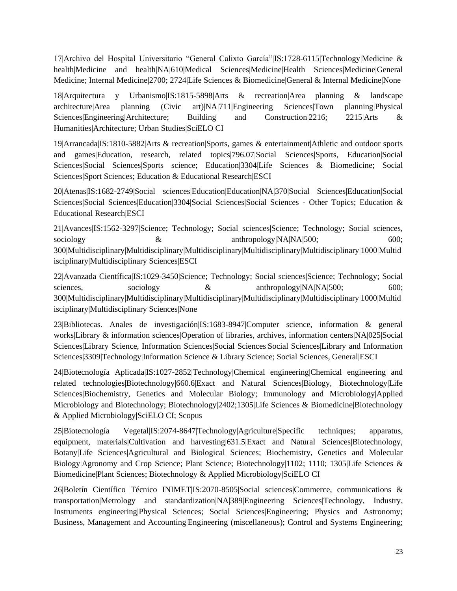17|Archivo del Hospital Universitario "General Calixto García"|IS:1728-6115|Technology|Medicine & health|Medicine and health|NA|610|Medical Sciences|Medicine|Health Sciences|Medicine|General Medicine; Internal Medicine|2700; 2724|Life Sciences & Biomedicine|General & Internal Medicine|None

18|Arquitectura y Urbanismo|IS:1815-5898|Arts & recreation|Area planning & landscape architecture|Area planning (Civic art)|NA|711|Engineering Sciences|Town planning|Physical Sciences|Engineering|Architecture; Building and Construction|2216; 2215|Arts & Humanities|Architecture; Urban Studies|SciELO CI

19|Arrancada|IS:1810-5882|Arts & recreation|Sports, games & entertainment|Athletic and outdoor sports and games|Education, research, related topics|796.07|Social Sciences|Sports, Education|Social Sciences|Social Sciences|Sports science; Education|3304|Life Sciences & Biomedicine; Social Sciences|Sport Sciences; Education & Educational Research|ESCI

20|Atenas|IS:1682-2749|Social sciences|Education|Education|NA|370|Social Sciences|Education|Social Sciences|Social Sciences|Education|3304|Social Sciences|Social Sciences - Other Topics; Education & Educational Research|ESCI

21|Avances|IS:1562-3297|Science; Technology; Social sciences|Science; Technology; Social sciences, sociology  $\&$  anthropology|NA|NA|500; 600; 300|Multidisciplinary|Multidisciplinary|Multidisciplinary|Multidisciplinary|Multidisciplinary|1000|Multid isciplinary|Multidisciplinary Sciences|ESCI

22|Avanzada Científica|IS:1029-3450|Science; Technology; Social sciences|Science; Technology; Social sciences, sociology  $\&$  anthropology|NA|NA|500; 600; 300|Multidisciplinary|Multidisciplinary|Multidisciplinary|Multidisciplinary|Multidisciplinary|1000|Multid isciplinary|Multidisciplinary Sciences|None

23|Bibliotecas. Anales de investigación|IS:1683-8947|Computer science, information & general works|Library & information sciences|Operation of libraries, archives, information centers|NA|025|Social Sciences|Library Science, Information Sciences|Social Sciences|Social Sciences|Library and Information Sciences|3309|Technology|Information Science & Library Science; Social Sciences, General|ESCI

24|Biotecnología Aplicada|IS:1027-2852|Technology|Chemical engineering|Chemical engineering and related technologies|Biotechnology|660.6|Exact and Natural Sciences|Biology, Biotechnology|Life Sciences|Biochemistry, Genetics and Molecular Biology; Immunology and Microbiology|Applied Microbiology and Biotechnology; Biotechnology|2402;1305|Life Sciences & Biomedicine|Biotechnology & Applied Microbiology|SciELO CI; Scopus

25|Biotecnología Vegetal|IS:2074-8647|Technology|Agriculture|Specific techniques; apparatus, equipment, materials|Cultivation and harvesting|631.5|Exact and Natural Sciences|Biotechnology, Botany|Life Sciences|Agricultural and Biological Sciences; Biochemistry, Genetics and Molecular Biology|Agronomy and Crop Science; Plant Science; Biotechnology|1102; 1110; 1305|Life Sciences & Biomedicine|Plant Sciences; Biotechnology & Applied Microbiology|SciELO CI

26|Boletín Científico Técnico INIMET|IS:2070-8505|Social sciences|Commerce, communications & transportation|Metrology and standardization|NA|389|Engineering Sciences|Technology, Industry, Instruments engineering|Physical Sciences; Social Sciences|Engineering; Physics and Astronomy; Business, Management and Accounting|Engineering (miscellaneous); Control and Systems Engineering;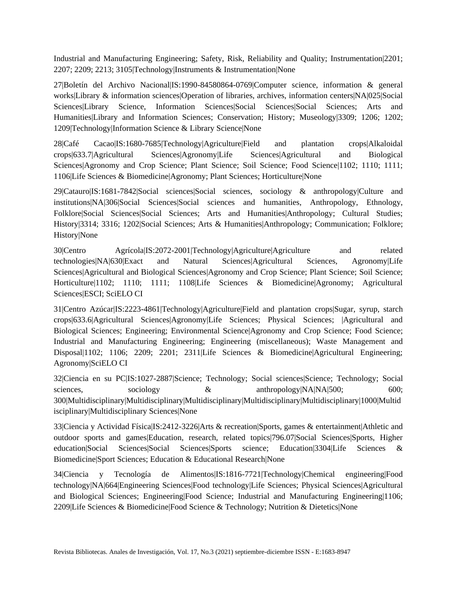Industrial and Manufacturing Engineering; Safety, Risk, Reliability and Quality; Instrumentation|2201; 2207; 2209; 2213; 3105|Technology|Instruments & Instrumentation|None

27|Boletín del Archivo Nacional|IS:1990-84580864-0769|Computer science, information & general works|Library & information sciences|Operation of libraries, archives, information centers|NA|025|Social Sciences|Library Science, Information Sciences|Social Sciences|Social Sciences; Arts and Humanities|Library and Information Sciences; Conservation; History; Museology|3309; 1206; 1202; 1209|Technology|Information Science & Library Science|None

28|Café Cacao|IS:1680-7685|Technology|Agriculture|Field and plantation crops|Alkaloidal crops|633.7|Agricultural Sciences|Agronomy|Life Sciences|Agricultural and Biological Sciences|Agronomy and Crop Science; Plant Science; Soil Science; Food Science|1102; 1110; 1111; 1106|Life Sciences & Biomedicine|Agronomy; Plant Sciences; Horticulture|None

29|Catauro|IS:1681-7842|Social sciences|Social sciences, sociology & anthropology|Culture and institutions|NA|306|Social Sciences|Social sciences and humanities, Anthropology, Ethnology, Folklore|Social Sciences|Social Sciences; Arts and Humanities|Anthropology; Cultural Studies; History|3314; 3316; 1202|Social Sciences; Arts & Humanities|Anthropology; Communication; Folklore; History|None

30|Centro Agrícola|IS:2072-2001|Technology|Agriculture|Agriculture and related technologies|NA|630|Exact and Natural Sciences|Agricultural Sciences, Agronomy|Life Sciences|Agricultural and Biological Sciences|Agronomy and Crop Science; Plant Science; Soil Science; Horticulture|1102; 1110; 1111; 1108|Life Sciences & Biomedicine|Agronomy; Agricultural Sciences|ESCI; SciELO CI

31|Centro Azúcar|IS:2223-4861|Technology|Agriculture|Field and plantation crops|Sugar, syrup, starch crops|633.6|Agricultural Sciences|Agronomy|Life Sciences; Physical Sciences; |Agricultural and Biological Sciences; Engineering; Environmental Science|Agronomy and Crop Science; Food Science; Industrial and Manufacturing Engineering; Engineering (miscellaneous); Waste Management and Disposal|1102; 1106; 2209; 2201; 2311|Life Sciences & Biomedicine|Agricultural Engineering; Agronomy|SciELO CI

32|Ciencia en su PC|IS:1027-2887|Science; Technology; Social sciences|Science; Technology; Social sciences, sociology  $\&$  anthropology|NA|NA|500; 600; 300|Multidisciplinary|Multidisciplinary|Multidisciplinary|Multidisciplinary|Multidisciplinary|1000|Multid isciplinary|Multidisciplinary Sciences|None

33|Ciencia y Actividad Física|IS:2412-3226|Arts & recreation|Sports, games & entertainment|Athletic and outdoor sports and games|Education, research, related topics|796.07|Social Sciences|Sports, Higher education|Social Sciences|Social Sciences|Sports science; Education|3304|Life Sciences & Biomedicine|Sport Sciences; Education & Educational Research|None

34|Ciencia y Tecnología de Alimentos|IS:1816-7721|Technology|Chemical engineering|Food technology|NA|664|Engineering Sciences|Food technology|Life Sciences; Physical Sciences|Agricultural and Biological Sciences; Engineering|Food Science; Industrial and Manufacturing Engineering|1106; 2209|Life Sciences & Biomedicine|Food Science & Technology; Nutrition & Dietetics|None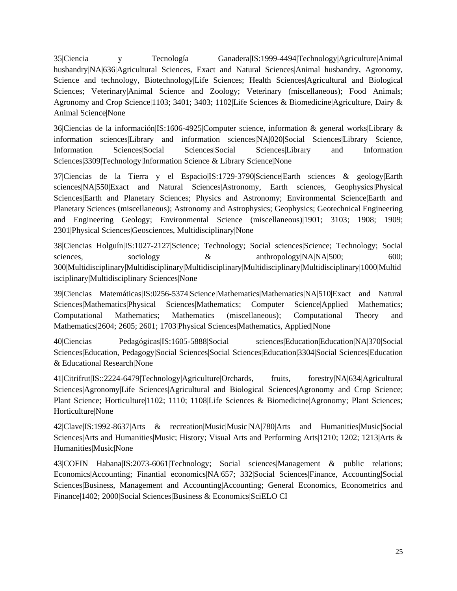35|Ciencia y Tecnología Ganadera|IS:1999-4494|Technology|Agriculture|Animal husbandry|NA|636|Agricultural Sciences, Exact and Natural Sciences|Animal husbandry, Agronomy, Science and technology, Biotechnology|Life Sciences; Health Sciences|Agricultural and Biological Sciences; Veterinary|Animal Science and Zoology; Veterinary (miscellaneous); Food Animals; Agronomy and Crop Science|1103; 3401; 3403; 1102|Life Sciences & Biomedicine|Agriculture, Dairy & Animal Science|None

36|Ciencias de la información|IS:1606-4925|Computer science, information & general works|Library & information sciences|Library and information sciences|NA|020|Social Sciences|Library Science, Information Sciences|Social Sciences|Social Sciences|Library and Information Sciences|3309|Technology|Information Science & Library Science|None

37|Ciencias de la Tierra y el Espacio|IS:1729-3790|Science|Earth sciences & geology|Earth sciences|NA|550|Exact and Natural Sciences|Astronomy, Earth sciences, Geophysics|Physical Sciences|Earth and Planetary Sciences; Physics and Astronomy; Environmental Science|Earth and Planetary Sciences (miscellaneous); Astronomy and Astrophysics; Geophysics; Geotechnical Engineering and Engineering Geology; Environmental Science (miscellaneous)|1901; 3103; 1908; 1909; 2301|Physical Sciences|Geosciences, Multidisciplinary|None

38|Ciencias Holguín|IS:1027-2127|Science; Technology; Social sciences|Science; Technology; Social sciences, sociology  $\&$  anthropology|NA|NA|500; 600; 300|Multidisciplinary|Multidisciplinary|Multidisciplinary|Multidisciplinary|Multidisciplinary|1000|Multid isciplinary|Multidisciplinary Sciences|None

39|Ciencias Matemáticas|IS:0256-5374|Science|Mathematics|Mathematics|NA|510|Exact and Natural Sciences|Mathematics|Physical Sciences|Mathematics; Computer Science|Applied Mathematics; Computational Mathematics; Mathematics (miscellaneous); Computational Theory and Mathematics|2604; 2605; 2601; 1703|Physical Sciences|Mathematics, Applied|None

40|Ciencias Pedagógicas|IS:1605-5888|Social sciences|Education|Education|NA|370|Social Sciences|Education, Pedagogy|Social Sciences|Social Sciences|Education|3304|Social Sciences|Education & Educational Research|None

41|Citrifrut|IS::2224-6479|Technology|Agriculture|Orchards, fruits, forestry|NA|634|Agricultural Sciences|Agronomy|Life Sciences|Agricultural and Biological Sciences|Agronomy and Crop Science; Plant Science; Horticulture|1102; 1110; 1108|Life Sciences & Biomedicine|Agronomy; Plant Sciences; Horticulture|None

42|Clave|IS:1992-8637|Arts & recreation|Music|Music|NA|780|Arts and Humanities|Music|Social Sciences|Arts and Humanities|Music; History; Visual Arts and Performing Arts|1210; 1202; 1213|Arts & Humanities|Music|None

43|COFIN Habana|IS:2073-6061|Technology; Social sciences|Management & public relations; Economics|Accounting; Finantial economics|NA|657; 332|Social Sciences|Finance, Accounting|Social Sciences|Business, Management and Accounting|Accounting; General Economics, Econometrics and Finance|1402; 2000|Social Sciences|Business & Economics|SciELO CI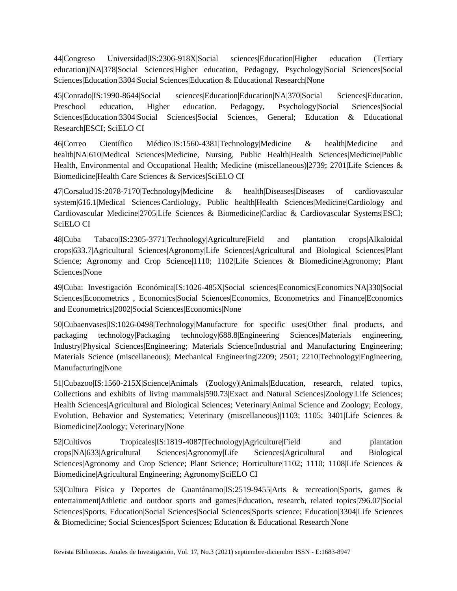44|Congreso Universidad|IS:2306-918X|Social sciences|Education|Higher education (Tertiary education)|NA|378|Social Sciences|Higher education, Pedagogy, Psychology|Social Sciences|Social Sciences|Education|3304|Social Sciences|Education & Educational Research|None

45|Conrado|IS:1990-8644|Social sciences|Education|Education|NA|370|Social Sciences|Education, Preschool education, Higher education, Pedagogy, Psychology|Social Sciences|Social Sciences|Education|3304|Social Sciences|Social Sciences, General; Education & Educational Research|ESCI; SciELO CI

46|Correo Científico Médico|IS:1560-4381|Technology|Medicine & health|Medicine and health|NA|610|Medical Sciences|Medicine, Nursing, Public Health|Health Sciences|Medicine|Public Health, Environmental and Occupational Health; Medicine (miscellaneous)|2739; 2701|Life Sciences & Biomedicine|Health Care Sciences & Services|SciELO CI

47|Corsalud|IS:2078-7170|Technology|Medicine & health|Diseases|Diseases of cardiovascular system|616.1|Medical Sciences|Cardiology, Public health|Health Sciences|Medicine|Cardiology and Cardiovascular Medicine|2705|Life Sciences & Biomedicine|Cardiac & Cardiovascular Systems|ESCI; SciELO CI

48|Cuba Tabaco|IS:2305-3771|Technology|Agriculture|Field and plantation crops|Alkaloidal crops|633.7|Agricultural Sciences|Agronomy|Life Sciences|Agricultural and Biological Sciences|Plant Science; Agronomy and Crop Science|1110; 1102|Life Sciences & Biomedicine|Agronomy; Plant Sciences|None

49|Cuba: Investigación Económica|IS:1026-485X|Social sciences|Economics|Economics|NA|330|Social Sciences|Econometrics , Economics|Social Sciences|Economics, Econometrics and Finance|Economics and Econometrics|2002|Social Sciences|Economics|None

50|Cubaenvases|IS:1026-0498|Technology|Manufacture for specific uses|Other final products, and packaging technology|Packaging technology|688.8|Engineering Sciences|Materials engineering, Industry|Physical Sciences|Engineering; Materials Science|Industrial and Manufacturing Engineering; Materials Science (miscellaneous); Mechanical Engineering|2209; 2501; 2210|Technology|Engineering, Manufacturing|None

51|Cubazoo|IS:1560-215X|Science|Animals (Zoology)|Animals|Education, research, related topics, Collections and exhibits of living mammals|590.73|Exact and Natural Sciences|Zoology|Life Sciences; Health Sciences|Agricultural and Biological Sciences; Veterinary|Animal Science and Zoology; Ecology, Evolution, Behavior and Systematics; Veterinary (miscellaneous)|1103; 1105; 3401|Life Sciences & Biomedicine|Zoology; Veterinary|None

52|Cultivos Tropicales|IS:1819-4087|Technology|Agriculture|Field and plantation crops|NA|633|Agricultural Sciences|Agronomy|Life Sciences|Agricultural and Biological Sciences|Agronomy and Crop Science; Plant Science; Horticulture|1102; 1110; 1108|Life Sciences & Biomedicine|Agricultural Engineering; Agronomy|SciELO CI

53|Cultura Física y Deportes de Guantánamo|IS:2519-9455|Arts & recreation|Sports, games & entertainment|Athletic and outdoor sports and games|Education, research, related topics|796.07|Social Sciences|Sports, Education|Social Sciences|Social Sciences|Sports science; Education|3304|Life Sciences & Biomedicine; Social Sciences|Sport Sciences; Education & Educational Research|None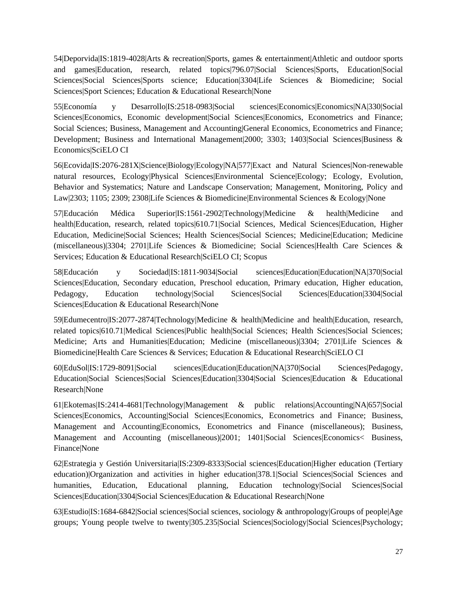54|Deporvida|IS:1819-4028|Arts & recreation|Sports, games & entertainment|Athletic and outdoor sports and games|Education, research, related topics|796.07|Social Sciences|Sports, Education|Social Sciences|Social Sciences|Sports science; Education|3304|Life Sciences & Biomedicine; Social Sciences|Sport Sciences; Education & Educational Research|None

55|Economía y Desarrollo|IS:2518-0983|Social sciences|Economics|Economics|NA|330|Social Sciences|Economics, Economic development|Social Sciences|Economics, Econometrics and Finance; Social Sciences; Business, Management and Accounting|General Economics, Econometrics and Finance; Development; Business and International Management 2000; 3303; 1403 Social Sciences Business & Economics|SciELO CI

56|Ecovida|IS:2076-281X|Science|Biology|Ecology|NA|577|Exact and Natural Sciences|Non-renewable natural resources, Ecology|Physical Sciences|Environmental Science|Ecology; Ecology, Evolution, Behavior and Systematics; Nature and Landscape Conservation; Management, Monitoring, Policy and Law|2303; 1105; 2309; 2308|Life Sciences & Biomedicine|Environmental Sciences & Ecology|None

57|Educación Médica Superior|IS:1561-2902|Technology|Medicine & health|Medicine and health|Education, research, related topics|610.71|Social Sciences, Medical Sciences|Education, Higher Education, Medicine|Social Sciences; Health Sciences|Social Sciences; Medicine|Education; Medicine (miscellaneous)|3304; 2701|Life Sciences & Biomedicine; Social Sciences|Health Care Sciences & Services; Education & Educational Research|SciELO CI; Scopus

58|Educación y Sociedad|IS:1811-9034|Social sciences|Education|Education|NA|370|Social Sciences|Education, Secondary education, Preschool education, Primary education, Higher education, Pedagogy, Education technology|Social Sciences|Social Sciences|Education|3304|Social Sciences|Education & Educational Research|None

59|Edumecentro|IS:2077-2874|Technology|Medicine & health|Medicine and health|Education, research, related topics|610.71|Medical Sciences|Public health|Social Sciences; Health Sciences|Social Sciences; Medicine; Arts and Humanities|Education; Medicine (miscellaneous)|3304; 2701|Life Sciences & Biomedicine|Health Care Sciences & Services; Education & Educational Research|SciELO CI

60|EduSol|IS:1729-8091|Social sciences|Education|Education|NA|370|Social Sciences|Pedagogy, Education|Social Sciences|Social Sciences|Education|3304|Social Sciences|Education & Educational Research|None

61|Ekotemas|IS:2414-4681|Technology|Management & public relations|Accounting|NA|657|Social Sciences|Economics, Accounting|Social Sciences|Economics, Econometrics and Finance; Business, Management and Accounting|Economics, Econometrics and Finance (miscellaneous); Business, Management and Accounting (miscellaneous)|2001; 1401|Social Sciences|Economics< Business, Finance|None

62|Estrategia y Gestión Universitaria|IS:2309-8333|Social sciences|Education|Higher education (Tertiary education)|Organization and activities in higher education|378.1|Social Sciences|Social Sciences and humanities, Education, Educational planning, Education technology|Social Sciences|Social Sciences|Education|3304|Social Sciences|Education & Educational Research|None

63|Estudio|IS:1684-6842|Social sciences|Social sciences, sociology & anthropology|Groups of people|Age groups; Young people twelve to twenty|305.235|Social Sciences|Sociology|Social Sciences|Psychology;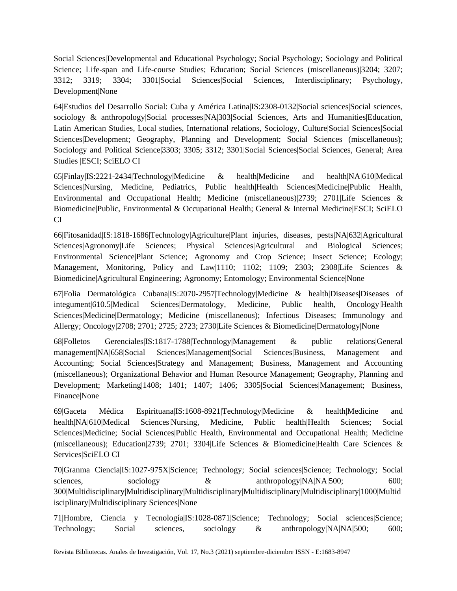Social Sciences|Developmental and Educational Psychology; Social Psychology; Sociology and Political Science; Life-span and Life-course Studies; Education; Social Sciences (miscellaneous)|3204; 3207; 3312; 3319; 3304; 3301|Social Sciences|Social Sciences, Interdisciplinary; Psychology, Development|None

64|Estudios del Desarrollo Social: Cuba y América Latina|IS:2308-0132|Social sciences|Social sciences, sociology & anthropology|Social processes|NA|303|Social Sciences, Arts and Humanities|Education, Latin American Studies, Local studies, International relations, Sociology, Culture|Social Sciences|Social Sciences|Development; Geography, Planning and Development; Social Sciences (miscellaneous); Sociology and Political Science|3303; 3305; 3312; 3301|Social Sciences|Social Sciences, General; Area Studies |ESCI; SciELO CI

65|Finlay|IS:2221-2434|Technology|Medicine & health|Medicine and health|NA|610|Medical Sciences|Nursing, Medicine, Pediatrics, Public health|Health Sciences|Medicine|Public Health, Environmental and Occupational Health; Medicine (miscellaneous)|2739; 2701|Life Sciences & Biomedicine|Public, Environmental & Occupational Health; General & Internal Medicine|ESCI; SciELO CI

66|Fitosanidad|IS:1818-1686|Technology|Agriculture|Plant injuries, diseases, pests|NA|632|Agricultural Sciences|Agronomy|Life Sciences; Physical Sciences|Agricultural and Biological Sciences; Environmental Science|Plant Science; Agronomy and Crop Science; Insect Science; Ecology; Management, Monitoring, Policy and Law|1110; 1102; 1109; 2303; 2308|Life Sciences & Biomedicine|Agricultural Engineering; Agronomy; Entomology; Environmental Science|None

67|Folia Dermatológica Cubana|IS:2070-2957|Technology|Medicine & health|Diseases|Diseases of integument|610.5|Medical Sciences|Dermatology, Medicine, Public health, Oncology|Health Sciences|Medicine|Dermatology; Medicine (miscellaneous); Infectious Diseases; Immunology and Allergy; Oncology|2708; 2701; 2725; 2723; 2730|Life Sciences & Biomedicine|Dermatology|None

68|Folletos Gerenciales|IS:1817-1788|Technology|Management & public relations|General management|NA|658|Social Sciences|Management|Social Sciences|Business, Management and Accounting; Social Sciences|Strategy and Management; Business, Management and Accounting (miscellaneous); Organizational Behavior and Human Resource Management; Geography, Planning and Development; Marketing|1408; 1401; 1407; 1406; 3305|Social Sciences|Management; Business, Finance|None

69|Gaceta Médica Espirituana|IS:1608-8921|Technology|Medicine & health|Medicine and health|NA|610|Medical Sciences|Nursing, Medicine, Public health|Health Sciences; Social Sciences|Medicine; Social Sciences|Public Health, Environmental and Occupational Health; Medicine (miscellaneous); Education|2739; 2701; 3304|Life Sciences & Biomedicine|Health Care Sciences & Services|SciELO CI

70|Granma Ciencia|IS:1027-975X|Science; Technology; Social sciences|Science; Technology; Social sciences, sociology  $\&$  anthropology|NA|NA|500; 600; 300|Multidisciplinary|Multidisciplinary|Multidisciplinary|Multidisciplinary|Multidisciplinary|1000|Multid isciplinary|Multidisciplinary Sciences|None

71|Hombre, Ciencia y Tecnología|IS:1028-0871|Science; Technology; Social sciences|Science; Technology; Social sciences, sociology & anthropology|NA|NA|500; 600;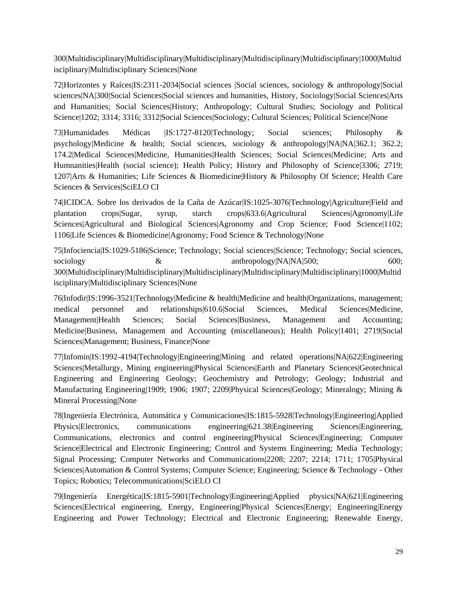300|Multidisciplinary|Multidisciplinary|Multidisciplinary|Multidisciplinary|Multidisciplinary|1000|Multid isciplinary|Multidisciplinary Sciences|None

72|Horizontes y Raíces|IS:2311-2034|Social sciences |Social sciences, sociology & anthropology|Social sciences|NA|300|Social Sciences|Social sciences and humanities, History, Sociology|Social Sciences|Arts and Humanities; Social Sciences|History; Anthropology; Cultural Studies; Sociology and Political Science|1202; 3314; 3316; 3312|Social Sciences|Sociology; Cultural Sciences; Political Science|None

73|Humanidades Médicas |IS:1727-8120|Technology; Social sciences; Philosophy & psychology|Medicine & health; Social sciences, sociology & anthropology|NA|NA|362.1; 362.2; 174.2|Medical Sciences|Medicine, Humanities|Health Sciences; Social Sciences|Medicine; Arts and Humnanities|Health (social science); Health Policy; History and Philosophy of Science|3306; 2719; 1207|Arts & Humanities; Life Sciences & Biomedicine|History & Philosophy Of Science; Health Care Sciences & Services|SciELO CI

74|ICIDCA. Sobre los derivados de la Caña de Azúcar|IS:1025-3076|Technology|Agriculture|Field and plantation crops|Sugar, syrup, starch crops|633.6|Agricultural Sciences|Agronomy|Life Sciences|Agricultural and Biological Sciences|Agronomy and Crop Science; Food Science|1102; 1106|Life Sciences & Biomedicine|Agronomy; Food Science & Technology|None

75|Infociencia|IS:1029-5186|Science; Technology; Social sciences|Science; Technology; Social sciences, sociology  $\&$  anthropology|NA|NA|500; 600; 300|Multidisciplinary|Multidisciplinary|Multidisciplinary|Multidisciplinary|Multidisciplinary|1000|Multid isciplinary|Multidisciplinary Sciences|None

76|Infodir|IS:1996-3521|Technology|Medicine & health|Medicine and health|Organizations, management; medical personnel and relationships|610.6|Social Sciences, Medical Sciences|Medicine, Management|Health Sciences; Social Sciences|Business, Management and Accounting; Medicine|Business, Management and Accounting (miscellaneous); Health Policy|1401; 2719|Social Sciences|Management; Business, Finance|None

77|Infomin|IS:1992-4194|Technology|Engineering|Mining and related operations|NA|622|Engineering Sciences|Metallurgy, Mining engineering|Physical Sciences|Earth and Planetary Sciences|Geotechnical Engineering and Engineering Geology; Geochemistry and Petrology; Geology; Industrial and Manufacturing Engineering|1909; 1906; 1907; 2209|Physical Sciences|Geology; Mineralogy; Mining & Mineral Processing|None

78|Ingeniería Electrónica, Automática y Comunicaciones|IS:1815-5928|Technology|Engineering|Applied Physics|Electronics, communications engineering|621.38|Engineering Sciences|Engineering, Communications, electronics and control engineering|Physical Sciences|Engineering; Computer Science|Electrical and Electronic Engineering; Control and Systems Engineering; Media Technology; Signal Processing; Computer Networks and Communications|2208; 2207; 2214; 1711; 1705|Physical Sciences|Automation & Control Systems; Computer Science; Engineering; Science & Technology - Other Topics; Robotics; Telecommunications|SciELO CI

79|Ingeniería Energética|IS:1815-5901|Technology|Engineering|Applied physics|NA|621|Engineering Sciences|Electrical engineering, Energy, Engineering|Physical Sciences|Energy; Engineering|Energy Engineering and Power Technology; Electrical and Electronic Engineering; Renewable Energy,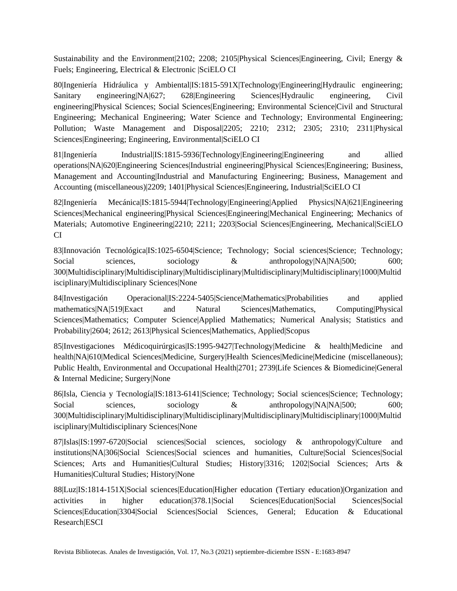Sustainability and the Environment 2102; 2208; 2105 Physical Sciences Engineering, Civil; Energy & Fuels; Engineering, Electrical & Electronic |SciELO CI

80|Ingeniería Hidráulica y Ambiental|IS:1815-591X|Technology|Engineering|Hydraulic engineering; Sanitary engineering|NA|627; 628|Engineering Sciences|Hydraulic engineering, Civil engineering|Physical Sciences; Social Sciences|Engineering; Environmental Science|Civil and Structural Engineering; Mechanical Engineering; Water Science and Technology; Environmental Engineering; Pollution; Waste Management and Disposal|2205; 2210; 2312; 2305; 2310; 2311|Physical Sciences|Engineering; Engineering, Environmental|SciELO CI

81|Ingeniería Industrial|IS:1815-5936|Technology|Engineering|Engineering and allied operations|NA|620|Engineering Sciences|Industrial engineering|Physical Sciences|Engineering; Business, Management and Accounting|Industrial and Manufacturing Engineering; Business, Management and Accounting (miscellaneous)|2209; 1401|Physical Sciences|Engineering, Industrial|SciELO CI

82|Ingeniería Mecánica|IS:1815-5944|Technology|Engineering|Applied Physics|NA|621|Engineering Sciences|Mechanical engineering|Physical Sciences|Engineering|Mechanical Engineering; Mechanics of Materials; Automotive Engineering|2210; 2211; 2203|Social Sciences|Engineering, Mechanical|SciELO CI

83|Innovación Tecnológica|IS:1025-6504|Science; Technology; Social sciences|Science; Technology; Social sciences, sociology & anthropology|NA|NA|500; 600; 300|Multidisciplinary|Multidisciplinary|Multidisciplinary|Multidisciplinary|Multidisciplinary|1000|Multid isciplinary|Multidisciplinary Sciences|None

84|Investigación Operacional|IS:2224-5405|Science|Mathematics|Probabilities and applied mathematics|NA|519|Exact and Natural Sciences|Mathematics, Computing|Physical Sciences|Mathematics; Computer Science|Applied Mathematics; Numerical Analysis; Statistics and Probability|2604; 2612; 2613|Physical Sciences|Mathematics, Applied|Scopus

85|Investigaciones Médicoquirúrgicas|IS:1995-9427|Technology|Medicine & health|Medicine and health|NA|610|Medical Sciences|Medicine, Surgery|Health Sciences|Medicine|Medicine (miscellaneous); Public Health, Environmental and Occupational Health|2701; 2739|Life Sciences & Biomedicine|General & Internal Medicine; Surgery|None

86|Isla, Ciencia y Tecnología|IS:1813-6141|Science; Technology; Social sciences|Science; Technology; Social sciences, sociology & anthropology|NA|NA|500; 600; 300|Multidisciplinary|Multidisciplinary|Multidisciplinary|Multidisciplinary|Multidisciplinary|1000|Multid isciplinary|Multidisciplinary Sciences|None

87|Islas|IS:1997-6720|Social sciences|Social sciences, sociology & anthropology|Culture and institutions|NA|306|Social Sciences|Social sciences and humanities, Culture|Social Sciences|Social Sciences; Arts and Humanities|Cultural Studies; History|3316; 1202|Social Sciences; Arts & Humanities|Cultural Studies; History|None

88|Luz|IS:1814-151X|Social sciences|Education|Higher education (Tertiary education)|Organization and activities in higher education|378.1|Social Sciences|Education|Social Sciences|Social Sciences|Education|3304|Social Sciences|Social Sciences, General; Education & Educational Research|ESCI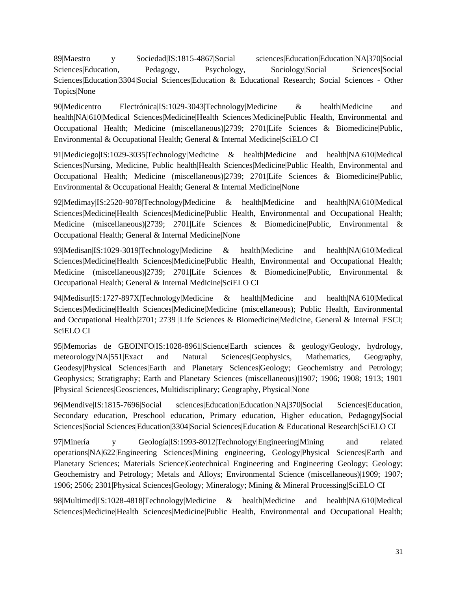89|Maestro y Sociedad|IS:1815-4867|Social sciences|Education|Education|NA|370|Social Sciences|Education, Pedagogy, Psychology, Sociology|Social Sciences|Social Sciences|Education|3304|Social Sciences|Education & Educational Research; Social Sciences - Other Topics|None

90|Medicentro Electrónica|IS:1029-3043|Technology|Medicine & health|Medicine and health|NA|610|Medical Sciences|Medicine|Health Sciences|Medicine|Public Health, Environmental and Occupational Health; Medicine (miscellaneous)|2739; 2701|Life Sciences & Biomedicine|Public, Environmental & Occupational Health; General & Internal Medicine|SciELO CI

91|Mediciego|IS:1029-3035|Technology|Medicine & health|Medicine and health|NA|610|Medical Sciences|Nursing, Medicine, Public health|Health Sciences|Medicine|Public Health, Environmental and Occupational Health; Medicine (miscellaneous)|2739; 2701|Life Sciences & Biomedicine|Public, Environmental & Occupational Health; General & Internal Medicine|None

92|Medimay|IS:2520-9078|Technology|Medicine & health|Medicine and health|NA|610|Medical Sciences|Medicine|Health Sciences|Medicine|Public Health, Environmental and Occupational Health; Medicine (miscellaneous)|2739; 2701|Life Sciences & Biomedicine|Public, Environmental & Occupational Health; General & Internal Medicine|None

93|Medisan|IS:1029-3019|Technology|Medicine & health|Medicine and health|NA|610|Medical Sciences|Medicine|Health Sciences|Medicine|Public Health, Environmental and Occupational Health; Medicine (miscellaneous)|2739; 2701|Life Sciences & Biomedicine|Public, Environmental & Occupational Health; General & Internal Medicine|SciELO CI

94|Medisur|IS:1727-897X|Technology|Medicine & health|Medicine and health|NA|610|Medical Sciences|Medicine|Health Sciences|Medicine|Medicine (miscellaneous); Public Health, Environmental and Occupational Health|2701; 2739 |Life Sciences & Biomedicine|Medicine, General & Internal |ESCI; SciELO CI

95|Memorias de GEOINFO|IS:1028-8961|Science|Earth sciences & geology|Geology, hydrology, meteorology|NA|551|Exact and Natural Sciences|Geophysics, Mathematics, Geography, Geodesy|Physical Sciences|Earth and Planetary Sciences|Geology; Geochemistry and Petrology; Geophysics; Stratigraphy; Earth and Planetary Sciences (miscellaneous)|1907; 1906; 1908; 1913; 1901 |Physical Sciences|Geosciences, Multidisciplinary; Geography, Physical|None

96|Mendive|IS:1815-7696|Social sciences|Education|Education|NA|370|Social Sciences|Education, Secondary education, Preschool education, Primary education, Higher education, Pedagogy|Social Sciences|Social Sciences|Education|3304|Social Sciences|Education & Educational Research|SciELO CI

97|Minería y Geología|IS:1993-8012|Technology|Engineering|Mining and related operations|NA|622|Engineering Sciences|Mining engineering, Geology|Physical Sciences|Earth and Planetary Sciences; Materials Science|Geotechnical Engineering and Engineering Geology; Geology; Geochemistry and Petrology; Metals and Alloys; Environmental Science (miscellaneous)|1909; 1907; 1906; 2506; 2301|Physical Sciences|Geology; Mineralogy; Mining & Mineral Processing|SciELO CI

98|Multimed|IS:1028-4818|Technology|Medicine & health|Medicine and health|NA|610|Medical Sciences|Medicine|Health Sciences|Medicine|Public Health, Environmental and Occupational Health;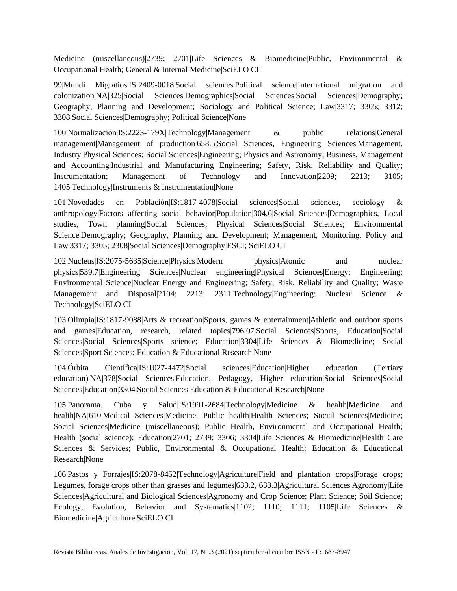Medicine (miscellaneous)|2739; 2701|Life Sciences & Biomedicine|Public, Environmental & Occupational Health; General & Internal Medicine|SciELO CI

99|Mundi Migratios|IS:2409-0018|Social sciences|Political science|International migration and colonization|NA|325|Social Sciences|Demographics|Social Sciences|Social Sciences|Demography; Geography, Planning and Development; Sociology and Political Science; Law|3317; 3305; 3312; 3308|Social Sciences|Demography; Political Science|None

100|Normalización|IS:2223-179X|Technology|Management & public relations|General management|Management of production|658.5|Social Sciences, Engineering Sciences|Management, Industry|Physical Sciences; Social Sciences|Engineering; Physics and Astronomy; Business, Management and Accounting|Industrial and Manufacturing Engineering; Safety, Risk, Reliability and Quality; Instrumentation; Management of Technology and Innovation|2209; 2213; 3105; 1405|Technology|Instruments & Instrumentation|None

101|Novedades en Población|IS:1817-4078|Social sciences|Social sciences, sociology & anthropology|Factors affecting social behavior|Population|304.6|Social Sciences|Demographics, Local studies, Town planning|Social Sciences; Physical Sciences|Social Sciences; Environmental Science|Demography; Geography, Planning and Development; Management, Monitoring, Policy and Law|3317; 3305; 2308|Social Sciences|Demography|ESCI; SciELO CI

102|Nucleus|IS:2075-5635|Science|Physics|Modern physics|Atomic and nuclear physics|539.7|Engineering Sciences|Nuclear engineering|Physical Sciences|Energy; Engineering; Environmental Science|Nuclear Energy and Engineering; Safety, Risk, Reliability and Quality; Waste Management and Disposal|2104; 2213; 2311|Technology|Engineering; Nuclear Science & Technology|SciELO CI

103|Olimpia|IS:1817-9088|Arts & recreation|Sports, games & entertainment|Athletic and outdoor sports and games|Education, research, related topics|796.07|Social Sciences|Sports, Education|Social Sciences|Social Sciences|Sports science; Education|3304|Life Sciences & Biomedicine; Social Sciences|Sport Sciences; Education & Educational Research|None

104|Órbita Científica|IS:1027-4472|Social sciences|Education|Higher education (Tertiary education)|NA|378|Social Sciences|Education, Pedagogy, Higher education|Social Sciences|Social Sciences|Education|3304|Social Sciences|Education & Educational Research|None

105|Panorama. Cuba y Salud|IS:1991-2684|Technology|Medicine & health|Medicine and health|NA|610|Medical Sciences|Medicine, Public health|Health Sciences; Social Sciences|Medicine; Social Sciences|Medicine (miscellaneous); Public Health, Environmental and Occupational Health; Health (social science); Education|2701; 2739; 3306; 3304|Life Sciences & Biomedicine|Health Care Sciences & Services; Public, Environmental & Occupational Health; Education & Educational Research|None

106|Pastos y Forrajes|IS:2078-8452|Technology|Agriculture|Field and plantation crops|Forage crops; Legumes, forage crops other than grasses and legumes|633.2, 633.3|Agricultural Sciences|Agronomy|Life Sciences|Agricultural and Biological Sciences|Agronomy and Crop Science; Plant Science; Soil Science; Ecology, Evolution, Behavior and Systematics|1102; 1110; 1111; 1105|Life Sciences & Biomedicine|Agriculture|SciELO CI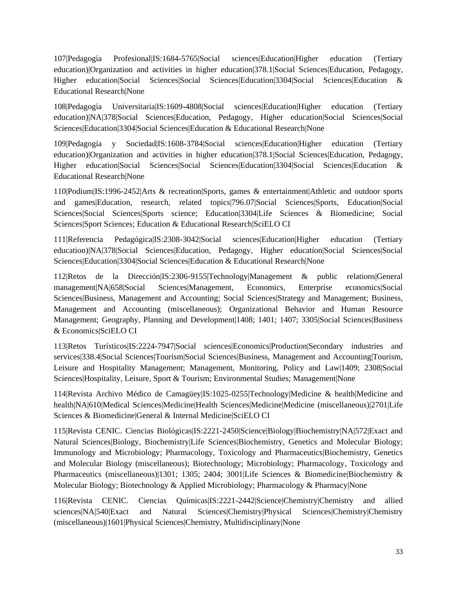107|Pedagogía Profesional|IS:1684-5765|Social sciences|Education|Higher education (Tertiary education)|Organization and activities in higher education|378.1|Social Sciences|Education, Pedagogy, Higher education|Social Sciences|Social Sciences|Education|3304|Social Sciences|Education & Educational Research|None

108|Pedagogía Universitaria|IS:1609-4808|Social sciences|Education|Higher education (Tertiary education)|NA|378|Social Sciences|Education, Pedagogy, Higher education|Social Sciences|Social Sciences|Education|3304|Social Sciences|Education & Educational Research|None

109|Pedagogía y Sociedad|IS:1608-3784|Social sciences|Education|Higher education (Tertiary education)|Organization and activities in higher education|378.1|Social Sciences|Education, Pedagogy, Higher education|Social Sciences|Social Sciences|Education|3304|Social Sciences|Education & Educational Research|None

110|Podium|IS:1996-2452|Arts & recreation|Sports, games & entertainment|Athletic and outdoor sports and games|Education, research, related topics|796.07|Social Sciences|Sports, Education|Social Sciences|Social Sciences|Sports science; Education|3304|Life Sciences & Biomedicine; Social Sciences|Sport Sciences; Education & Educational Research|SciELO CI

111|Referencia Pedagógica|IS:2308-3042|Social sciences|Education|Higher education (Tertiary education)|NA|378|Social Sciences|Education, Pedagogy, Higher education|Social Sciences|Social Sciences|Education|3304|Social Sciences|Education & Educational Research|None

112|Retos de la Dirección|IS:2306-9155|Technology|Management & public relations|General management|NA|658|Social Sciences|Management, Economics, Enterprise economics|Social Sciences|Business, Management and Accounting; Social Sciences|Strategy and Management; Business, Management and Accounting (miscellaneous); Organizational Behavior and Human Resource Management; Geography, Planning and Development 1408; 1401; 1407; 3305 Social Sciences Business & Economics|SciELO CI

113|Retos Turísticos|IS:2224-7947|Social sciences|Economics|Production|Secondary industries and services|338.4|Social Sciences|Tourism|Social Sciences|Business, Management and Accounting|Tourism, Leisure and Hospitality Management; Management, Monitoring, Policy and Law|1409; 2308|Social Sciences|Hospitality, Leisure, Sport & Tourism; Environmental Studies; Management|None

114|Revista Archivo Médico de Camagüey|IS:1025-0255|Technology|Medicine & health|Medicine and health|NA|610|Medical Sciences|Medicine|Health Sciences|Medicine|Medicine (miscellaneous)|2701|Life Sciences & Biomedicine|General & Internal Medicine|SciELO CI

115|Revista CENIC. Ciencias Biológicas|IS:2221-2450|Science|Biology|Biochemistry|NA|572|Exact and Natural Sciences|Biology, Biochemistry|Life Sciences|Biochemistry, Genetics and Molecular Biology; Immunology and Microbiology; Pharmacology, Toxicology and Pharmaceutics|Biochemistry, Genetics and Molecular Biology (miscellaneous); Biotechnology; Microbiology; Pharmacology, Toxicology and Pharmaceutics (miscellaneous)|1301; 1305; 2404; 3001|Life Sciences & Biomedicine|Biochemistry & Molecular Biology; Biotechnology & Applied Microbiology; Pharmacology & Pharmacy|None

116|Revista CENIC. Ciencias Químicas|IS:2221-2442|Science|Chemistry|Chemistry and allied sciences|NA|540|Exact and Natural Sciences|Chemistry|Physical Sciences|Chemistry|Chemistry (miscellaneous)|1601|Physical Sciences|Chemistry, Multidisciplinary|None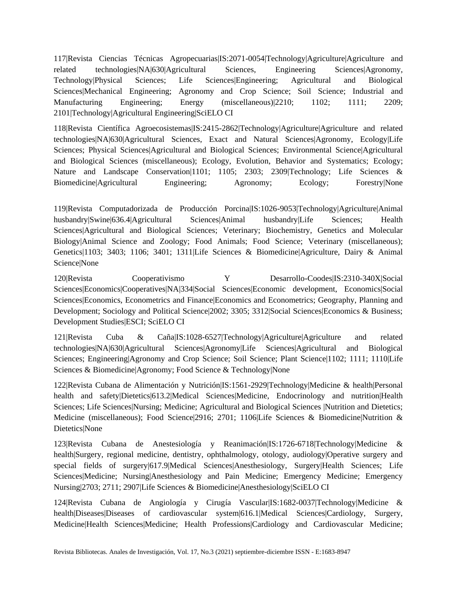117|Revista Ciencias Técnicas Agropecuarias|IS:2071-0054|Technology|Agriculture|Agriculture and related technologies|NA|630|Agricultural Sciences, Engineering Sciences|Agronomy, Technology|Physical Sciences; Life Sciences|Engineering; Agricultural and Biological Sciences|Mechanical Engineering; Agronomy and Crop Science; Soil Science; Industrial and Manufacturing Engineering; Energy (miscellaneous)|2210; 1102; 1111; 2209; 2101|Technology|Agricultural Engineering|SciELO CI

118|Revista Científica Agroecosistemas|IS:2415-2862|Technology|Agriculture|Agriculture and related technologies|NA|630|Agricultural Sciences, Exact and Natural Sciences|Agronomy, Ecology|Life Sciences; Physical Sciences|Agricultural and Biological Sciences; Environmental Science|Agricultural and Biological Sciences (miscellaneous); Ecology, Evolution, Behavior and Systematics; Ecology; Nature and Landscape Conservation|1101; 1105; 2303; 2309|Technology; Life Sciences & Biomedicine|Agricultural Engineering; Agronomy; Ecology; Forestry|None

119|Revista Computadorizada de Producción Porcina|IS:1026-9053|Technology|Agriculture|Animal husbandry|Swine|636.4|Agricultural Sciences|Animal husbandry|Life Sciences; Health Sciences|Agricultural and Biological Sciences; Veterinary; Biochemistry, Genetics and Molecular Biology|Animal Science and Zoology; Food Animals; Food Science; Veterinary (miscellaneous); Genetics|1103; 3403; 1106; 3401; 1311|Life Sciences & Biomedicine|Agriculture, Dairy & Animal Science|None

120|Revista Cooperativismo Y Desarrollo-Coodes|IS:2310-340X|Social Sciences|Economics|Cooperatives|NA|334|Social Sciences|Economic development, Economics|Social Sciences|Economics, Econometrics and Finance|Economics and Econometrics; Geography, Planning and Development; Sociology and Political Science|2002; 3305; 3312|Social Sciences|Economics & Business; Development Studies|ESCI; SciELO CI

121|Revista Cuba & Caña|IS:1028-6527|Technology|Agriculture|Agriculture and related technologies|NA|630|Agricultural Sciences|Agronomy|Life Sciences|Agricultural and Biological Sciences; Engineering|Agronomy and Crop Science; Soil Science; Plant Science|1102; 1111; 1110|Life Sciences & Biomedicine|Agronomy; Food Science & Technology|None

122|Revista Cubana de Alimentación y Nutrición|IS:1561-2929|Technology|Medicine & health|Personal health and safety|Dietetics|613.2|Medical Sciences|Medicine, Endocrinology and nutrition|Health Sciences; Life Sciences|Nursing; Medicine; Agricultural and Biological Sciences |Nutrition and Dietetics; Medicine (miscellaneous); Food Science|2916; 2701; 1106|Life Sciences & Biomedicine|Nutrition & Dietetics|None

123|Revista Cubana de Anestesiología y Reanimación|IS:1726-6718|Technology|Medicine & health|Surgery, regional medicine, dentistry, ophthalmology, otology, audiology|Operative surgery and special fields of surgery|617.9|Medical Sciences|Anesthesiology, Surgery|Health Sciences; Life Sciences|Medicine; Nursing|Anesthesiology and Pain Medicine; Emergency Medicine; Emergency Nursing|2703; 2711; 2907|Life Sciences & Biomedicine|Anesthesiology|SciELO CI

124|Revista Cubana de Angiología y Cirugía Vascular|IS:1682-0037|Technology|Medicine & health|Diseases|Diseases of cardiovascular system|616.1|Medical Sciences|Cardiology, Surgery, Medicine|Health Sciences|Medicine; Health Professions|Cardiology and Cardiovascular Medicine;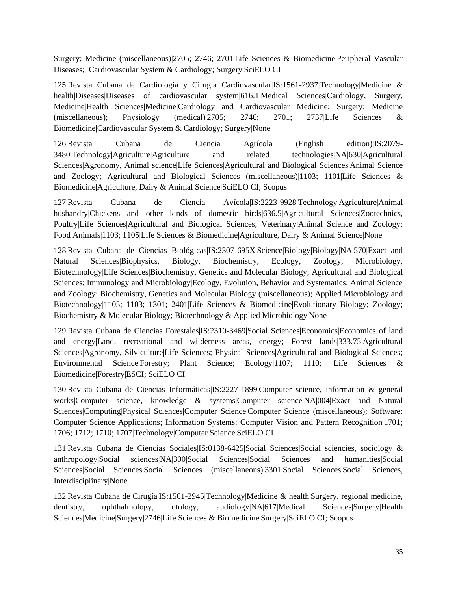Surgery; Medicine (miscellaneous)|2705; 2746; 2701|Life Sciences & Biomedicine|Peripheral Vascular Diseases; Cardiovascular System & Cardiology; Surgery|SciELO CI

125|Revista Cubana de Cardiología y Cirugía Cardiovascular|IS:1561-2937|Technology|Medicine & health|Diseases|Diseases of cardiovascular system|616.1|Medical Sciences|Cardiology, Surgery, Medicine|Health Sciences|Medicine|Cardiology and Cardiovascular Medicine; Surgery; Medicine (miscellaneous); Physiology (medical)|2705; 2746; 2701; 2737|Life Sciences & Biomedicine|Cardiovascular System & Cardiology; Surgery|None

126|Revista Cubana de Ciencia Agrícola (English edition)|IS:2079- 3480|Technology|Agriculture|Agriculture and related technologies|NA|630|Agricultural Sciences|Agronomy, Animal science|Life Sciences|Agricultural and Biological Sciences|Animal Science and Zoology; Agricultural and Biological Sciences (miscellaneous)|1103; 1101|Life Sciences & Biomedicine|Agriculture, Dairy & Animal Science|SciELO CI; Scopus

127|Revista Cubana de Ciencia Avícola|IS:2223-9928|Technology|Agriculture|Animal husbandry|Chickens and other kinds of domestic birds|636.5|Agricultural Sciences|Zootechnics, Poultry|Life Sciences|Agricultural and Biological Sciences; Veterinary|Animal Science and Zoology; Food Animals|1103; 1105|Life Sciences & Biomedicine|Agriculture, Dairy & Animal Science|None

128|Revista Cubana de Ciencias Biológicas|IS:2307-695X|Science|Biology|Biology|NA|570|Exact and Natural Sciences|Biophysics, Biology, Biochemistry, Ecology, Zoology, Microbiology, Biotechnology|Life Sciences|Biochemistry, Genetics and Molecular Biology; Agricultural and Biological Sciences; Immunology and Microbiology|Ecology, Evolution, Behavior and Systematics; Animal Science and Zoology; Biochemistry, Genetics and Molecular Biology (miscellaneous); Applied Microbiology and Biotechnology|1105; 1103; 1301; 2401|Life Sciences & Biomedicine|Evolutionary Biology; Zoology; Biochemistry & Molecular Biology; Biotechnology & Applied Microbiology|None

129|Revista Cubana de Ciencias Forestales|IS:2310-3469|Social Sciences|Economics|Economics of land and energy|Land, recreational and wilderness areas, energy; Forest lands|333.75|Agricultural Sciences|Agronomy, Silviculture|Life Sciences; Physical Sciences|Agricultural and Biological Sciences; Environmental Science|Forestry; Plant Science; Ecology|1107; 1110; |Life Sciences & Biomedicine|Forestry|ESCI; SciELO CI

130|Revista Cubana de Ciencias Informáticas|IS:2227-1899|Computer science, information & general works|Computer science, knowledge & systems|Computer science|NA|004|Exact and Natural Sciences|Computing|Physical Sciences|Computer Science|Computer Science (miscellaneous); Software; Computer Science Applications; Information Systems; Computer Vision and Pattern Recognition|1701; 1706; 1712; 1710; 1707|Technology|Computer Science|SciELO CI

131|Revista Cubana de Ciencias Sociales|IS:0138-6425|Social Sciences|Social sciencies, sociology & anthropology|Social sciences|NA|300|Social Sciences|Social Sciences and humanities|Social Sciences|Social Sciences|Social Sciences (miscellaneous)|3301|Social Sciences|Social Sciences, Interdisciplinary|None

132|Revista Cubana de Cirugía|IS:1561-2945|Technology|Medicine & health|Surgery, regional medicine, dentistry, ophthalmology, otology, audiology|NA|617|Medical Sciences|Surgery|Health Sciences|Medicine|Surgery|2746|Life Sciences & Biomedicine|Surgery|SciELO CI; Scopus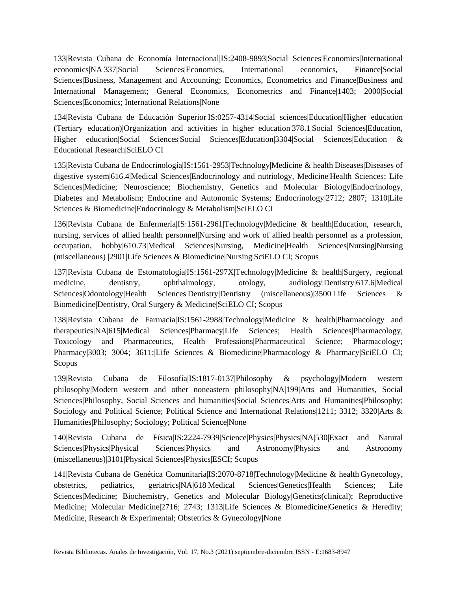133|Revista Cubana de Economía Internacional|IS:2408-9893|Social Sciences|Economics|International economics|NA|337|Social Sciences|Economics, International economics, Finance|Social Sciences|Business, Management and Accounting; Economics, Econometrics and Finance|Business and International Management; General Economics, Econometrics and Finance|1403; 2000|Social Sciences|Economics; International Relations|None

134|Revista Cubana de Educación Superior|IS:0257-4314|Social sciences|Education|Higher education (Tertiary education)|Organization and activities in higher education|378.1|Social Sciences|Education, Higher education|Social Sciences|Social Sciences|Education|3304|Social Sciences|Education & Educational Research|SciELO CI

135|Revista Cubana de Endocrinología|IS:1561-2953|Technology|Medicine & health|Diseases|Diseases of digestive system|616.4|Medical Sciences|Endocrinology and nutriology, Medicine|Health Sciences; Life Sciences|Medicine; Neuroscience; Biochemistry, Genetics and Molecular Biology|Endocrinology, Diabetes and Metabolism; Endocrine and Autonomic Systems; Endocrinology|2712; 2807; 1310|Life Sciences & Biomedicine|Endocrinology & Metabolism|SciELO CI

136|Revista Cubana de Enfermería|IS:1561-2961|Technology|Medicine & health|Education, research, nursing, services of allied health personnel|Nursing and work of allied health personnel as a profession, occupation, hobby|610.73|Medical Sciences|Nursing, Medicine|Health Sciences|Nursing|Nursing (miscellaneous) |2901|Life Sciences & Biomedicine|Nursing|SciELO CI; Scopus

137|Revista Cubana de Estomatología|IS:1561-297X|Technology|Medicine & health|Surgery, regional medicine, dentistry, ophthalmology, otology, audiology|Dentistry|617.6|Medical Sciences|Odontology|Health Sciences|Dentistry|Dentistry (miscellaneous)|3500|Life Sciences & Biomedicine|Dentistry, Oral Surgery & Medicine|SciELO CI; Scopus

138|Revista Cubana de Farmacia|IS:1561-2988|Technology|Medicine & health|Pharmacology and therapeutics|NA|615|Medical Sciences|Pharmacy|Life Sciences; Health Sciences|Pharmacology, Toxicology and Pharmaceutics, Health Professions|Pharmaceutical Science; Pharmacology; Pharmacy|3003; 3004; 3611;|Life Sciences & Biomedicine|Pharmacology & Pharmacy|SciELO CI; Scopus

139|Revista Cubana de Filosofía|IS:1817-0137|Philosophy & psychology|Modern western philosophy|Modern western and other noneastern philosophy|NA|199|Arts and Humanities, Social Sciences|Philosophy, Social Sciences and humanities|Social Sciences|Arts and Humanities|Philosophy; Sociology and Political Science; Political Science and International Relations|1211; 3312; 3320|Arts & Humanities|Philosophy; Sociology; Political Science|None

140|Revista Cubana de Física|IS:2224-7939|Science|Physics|Physics|NA|530|Exact and Natural Sciences|Physics|Physical Sciences|Physics and Astronomy|Physics and Astronomy (miscellaneous)|3101|Physical Sciences|Physics|ESCI; Scopus

141|Revista Cubana de Genética Comunitaria|IS:2070-8718|Technology|Medicine & health|Gynecology, obstetrics, pediatrics, geriatrics|NA|618|Medical Sciences|Genetics|Health Sciences; Life Sciences|Medicine; Biochemistry, Genetics and Molecular Biology|Genetics(clinical); Reproductive Medicine; Molecular Medicine|2716; 2743; 1313|Life Sciences & Biomedicine|Genetics & Heredity; Medicine, Research & Experimental; Obstetrics & Gynecology|None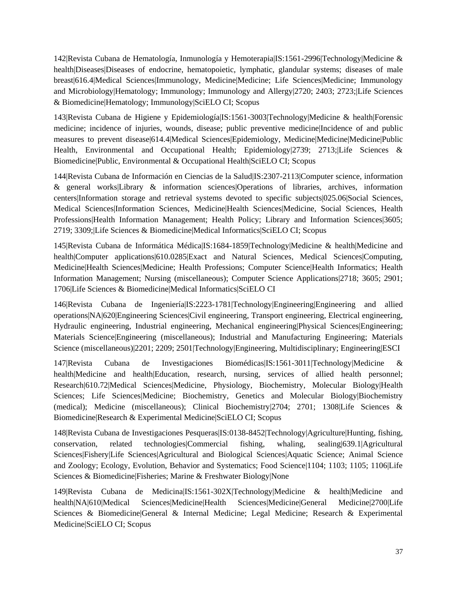142|Revista Cubana de Hematología, Inmunología y Hemoterapia|IS:1561-2996|Technology|Medicine & health|Diseases|Diseases of endocrine, hematopoietic, lymphatic, glandular systems; diseases of male breast|616.4|Medical Sciences|Immunology, Medicine|Medicine; Life Sciences|Medicine; Immunology and Microbiology|Hematology; Immunology; Immunology and Allergy|2720; 2403; 2723;|Life Sciences & Biomedicine|Hematology; Immunology|SciELO CI; Scopus

143|Revista Cubana de Higiene y Epidemiología|IS:1561-3003|Technology|Medicine & health|Forensic medicine; incidence of injuries, wounds, disease; public preventive medicine|Incidence of and public measures to prevent disease|614.4|Medical Sciences|Epidemiology, Medicine|Medicine|Medicine|Public Health, Environmental and Occupational Health; Epidemiology|2739; 2713;|Life Sciences & Biomedicine|Public, Environmental & Occupational Health|SciELO CI; Scopus

144|Revista Cubana de Información en Ciencias de la Salud|IS:2307-2113|Computer science, information & general works|Library & information sciences|Operations of libraries, archives, information centers|Information storage and retrieval systems devoted to specific subjects|025.06|Social Sciences, Medical Sciences|Information Sciences, Medicine|Health Sciences|Medicine, Social Sciences, Health Professions|Health Information Management; Health Policy; Library and Information Sciences|3605; 2719; 3309;|Life Sciences & Biomedicine|Medical Informatics|SciELO CI; Scopus

145|Revista Cubana de Informática Médica|IS:1684-1859|Technology|Medicine & health|Medicine and health|Computer applications|610.0285|Exact and Natural Sciences, Medical Sciences|Computing, Medicine|Health Sciences|Medicine; Health Professions; Computer Science|Health Informatics; Health Information Management; Nursing (miscellaneous); Computer Science Applications|2718; 3605; 2901; 1706|Life Sciences & Biomedicine|Medical Informatics|SciELO CI

146|Revista Cubana de Ingeniería|IS:2223-1781|Technology|Engineering|Engineering and allied operations|NA|620|Engineering Sciences|Civil engineering, Transport engineering, Electrical engineering, Hydraulic engineering, Industrial engineering, Mechanical engineering|Physical Sciences|Engineering; Materials Science|Engineering (miscellaneous); Industrial and Manufacturing Engineering; Materials Science (miscellaneous)|2201; 2209; 2501|Technology|Engineering, Multidisciplinary; Engineering|ESCI

147|Revista Cubana de Investigaciones Biomédicas|IS:1561-3011|Technology|Medicine & health|Medicine and health|Education, research, nursing, services of allied health personnel; Research|610.72|Medical Sciences|Medicine, Physiology, Biochemistry, Molecular Biology|Health Sciences; Life Sciences|Medicine; Biochemistry, Genetics and Molecular Biology|Biochemistry (medical); Medicine (miscellaneous); Clinical Biochemistry|2704; 2701; 1308|Life Sciences & Biomedicine|Research & Experimental Medicine|SciELO CI; Scopus

148|Revista Cubana de Investigaciones Pesqueras|IS:0138-8452|Technology|Agriculture|Hunting, fishing, conservation, related technologies|Commercial fishing, whaling, sealing|639.1|Agricultural Sciences|Fishery|Life Sciences|Agricultural and Biological Sciences|Aquatic Science; Animal Science and Zoology; Ecology, Evolution, Behavior and Systematics; Food Science|1104; 1103; 1105; 1106|Life Sciences & Biomedicine|Fisheries; Marine & Freshwater Biology|None

149|Revista Cubana de Medicina|IS:1561-302X|Technology|Medicine & health|Medicine and health|NA|610|Medical Sciences|Medicine|Health Sciences|Medicine|General Medicine|2700|Life Sciences & Biomedicine|General & Internal Medicine; Legal Medicine; Research & Experimental Medicine|SciELO CI; Scopus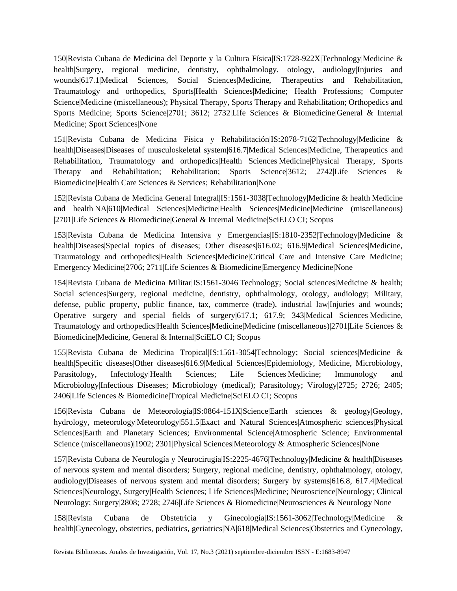150|Revista Cubana de Medicina del Deporte y la Cultura Física|IS:1728-922X|Technology|Medicine & health|Surgery, regional medicine, dentistry, ophthalmology, otology, audiology|Injuries and wounds|617.1|Medical Sciences, Social Sciences|Medicine, Therapeutics and Rehabilitation, Traumatology and orthopedics, Sports|Health Sciences|Medicine; Health Professions; Computer Science|Medicine (miscellaneous); Physical Therapy, Sports Therapy and Rehabilitation; Orthopedics and Sports Medicine; Sports Science|2701; 3612; 2732|Life Sciences & Biomedicine|General & Internal Medicine; Sport Sciences|None

151|Revista Cubana de Medicina Física y Rehabilitación|IS:2078-7162|Technology|Medicine & health|Diseases|Diseases of musculoskeletal system|616.7|Medical Sciences|Medicine, Therapeutics and Rehabilitation, Traumatology and orthopedics|Health Sciences|Medicine|Physical Therapy, Sports Therapy and Rehabilitation; Rehabilitation; Sports Science|3612; 2742|Life Sciences & Biomedicine|Health Care Sciences & Services; Rehabilitation|None

152|Revista Cubana de Medicina General Integral|IS:1561-3038|Technology|Medicine & health|Medicine and health|NA|610|Medical Sciences|Medicine|Health Sciences|Medicine|Medicine (miscellaneous) |2701|Life Sciences & Biomedicine|General & Internal Medicine|SciELO CI; Scopus

153|Revista Cubana de Medicina Intensiva y Emergencias|IS:1810-2352|Technology|Medicine & health|Diseases|Special topics of diseases; Other diseases|616.02; 616.9|Medical Sciences|Medicine, Traumatology and orthopedics|Health Sciences|Medicine|Critical Care and Intensive Care Medicine; Emergency Medicine|2706; 2711|Life Sciences & Biomedicine|Emergency Medicine|None

154|Revista Cubana de Medicina Militar|IS:1561-3046|Technology; Social sciences|Medicine & health; Social sciences|Surgery, regional medicine, dentistry, ophthalmology, otology, audiology; Military, defense, public property, public finance, tax, commerce (trade), industrial law|Injuries and wounds; Operative surgery and special fields of surgery|617.1; 617.9; 343|Medical Sciences|Medicine, Traumatology and orthopedics|Health Sciences|Medicine|Medicine (miscellaneous)|2701|Life Sciences & Biomedicine|Medicine, General & Internal|SciELO CI; Scopus

155|Revista Cubana de Medicina Tropical|IS:1561-3054|Technology; Social sciences|Medicine & health|Specific diseases|Other diseases|616.9|Medical Sciences|Epidemiology, Medicine, Microbiology, Parasitology, Infectology|Health Sciences; Life Sciences|Medicine; Immunology and Microbiology|Infectious Diseases; Microbiology (medical); Parasitology; Virology|2725; 2726; 2405; 2406|Life Sciences & Biomedicine|Tropical Medicine|SciELO CI; Scopus

156|Revista Cubana de Meteorología|IS:0864-151X|Science|Earth sciences & geology|Geology, hydrology, meteorology|Meteorology|551.5|Exact and Natural Sciences|Atmospheric sciences|Physical Sciences|Earth and Planetary Sciences; Environmental Science|Atmospheric Science; Environmental Science (miscellaneous)|1902; 2301|Physical Sciences|Meteorology & Atmospheric Sciences|None

157|Revista Cubana de Neurología y Neurocirugía|IS:2225-4676|Technology|Medicine & health|Diseases of nervous system and mental disorders; Surgery, regional medicine, dentistry, ophthalmology, otology, audiology|Diseases of nervous system and mental disorders; Surgery by systems|616.8, 617.4|Medical Sciences|Neurology, Surgery|Health Sciences; Life Sciences|Medicine; Neuroscience|Neurology; Clinical Neurology; Surgery|2808; 2728; 2746|Life Sciences & Biomedicine|Neurosciences & Neurology|None

158|Revista Cubana de Obstetricia y Ginecología|IS:1561-3062|Technology|Medicine & health|Gynecology, obstetrics, pediatrics, geriatrics|NA|618|Medical Sciences|Obstetrics and Gynecology,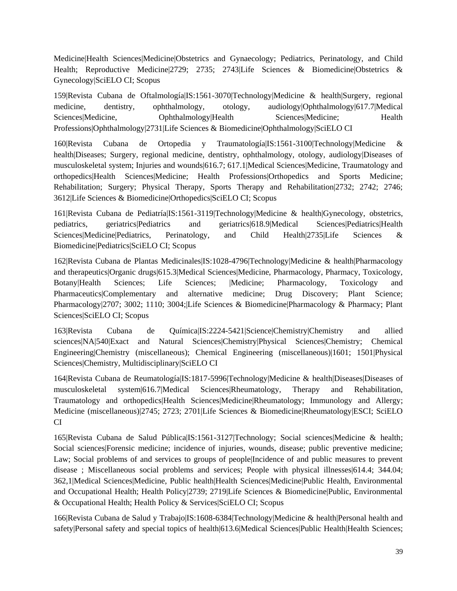Medicine|Health Sciences|Medicine|Obstetrics and Gynaecology; Pediatrics, Perinatology, and Child Health; Reproductive Medicine|2729; 2735; 2743|Life Sciences & Biomedicine|Obstetrics & Gynecology|SciELO CI; Scopus

159|Revista Cubana de Oftalmología|IS:1561-3070|Technology|Medicine & health|Surgery, regional medicine, dentistry, ophthalmology, otology, audiology|Ophthalmology|617.7|Medical Sciences|Medicine, Ophthalmology|Health Sciences|Medicine; Health Professions|Ophthalmology|2731|Life Sciences & Biomedicine|Ophthalmology|SciELO CI

160|Revista Cubana de Ortopedia y Traumatología|IS:1561-3100|Technology|Medicine & health|Diseases; Surgery, regional medicine, dentistry, ophthalmology, otology, audiology|Diseases of musculoskeletal system; Injuries and wounds|616.7; 617.1|Medical Sciences|Medicine, Traumatology and orthopedics|Health Sciences|Medicine; Health Professions|Orthopedics and Sports Medicine; Rehabilitation; Surgery; Physical Therapy, Sports Therapy and Rehabilitation|2732; 2742; 2746; 3612|Life Sciences & Biomedicine|Orthopedics|SciELO CI; Scopus

161|Revista Cubana de Pediatría|IS:1561-3119|Technology|Medicine & health|Gynecology, obstetrics, pediatrics, geriatrics|Pediatrics and geriatrics|618.9|Medical Sciences|Pediatrics|Health Sciences|Medicine|Pediatrics, Perinatology, and Child Health|2735|Life Sciences & Biomedicine|Pediatrics|SciELO CI; Scopus

162|Revista Cubana de Plantas Medicinales|IS:1028-4796|Technology|Medicine & health|Pharmacology and therapeutics|Organic drugs|615.3|Medical Sciences|Medicine, Pharmacology, Pharmacy, Toxicology, Botany|Health Sciences; Life Sciences; |Medicine; Pharmacology, Toxicology and Pharmaceutics|Complementary and alternative medicine; Drug Discovery; Plant Science; Pharmacology|2707; 3002; 1110; 3004;|Life Sciences & Biomedicine|Pharmacology & Pharmacy; Plant Sciences|SciELO CI; Scopus

163|Revista Cubana de Química|IS:2224-5421|Science|Chemistry|Chemistry and allied sciences|NA|540|Exact and Natural Sciences|Chemistry|Physical Sciences|Chemistry; Chemical Engineering|Chemistry (miscellaneous); Chemical Engineering (miscellaneous)|1601; 1501|Physical Sciences|Chemistry, Multidisciplinary|SciELO CI

164|Revista Cubana de Reumatología|IS:1817-5996|Technology|Medicine & health|Diseases|Diseases of musculoskeletal system|616.7|Medical Sciences|Rheumatology, Therapy and Rehabilitation, Traumatology and orthopedics|Health Sciences|Medicine|Rheumatology; Immunology and Allergy; Medicine (miscellaneous)|2745; 2723; 2701|Life Sciences & Biomedicine|Rheumatology|ESCI; SciELO CI

165|Revista Cubana de Salud Pública|IS:1561-3127|Technology; Social sciences|Medicine & health; Social sciences|Forensic medicine; incidence of injuries, wounds, disease; public preventive medicine; Law; Social problems of and services to groups of people|Incidence of and public measures to prevent disease ; Miscellaneous social problems and services; People with physical illnesses|614.4; 344.04; 362,1|Medical Sciences|Medicine, Public health|Health Sciences|Medicine|Public Health, Environmental and Occupational Health; Health Policy|2739; 2719|Life Sciences & Biomedicine|Public, Environmental & Occupational Health; Health Policy & Services|SciELO CI; Scopus

166|Revista Cubana de Salud y Trabajo|IS:1608-6384|Technology|Medicine & health|Personal health and safety|Personal safety and special topics of health|613.6|Medical Sciences|Public Health|Health Sciences;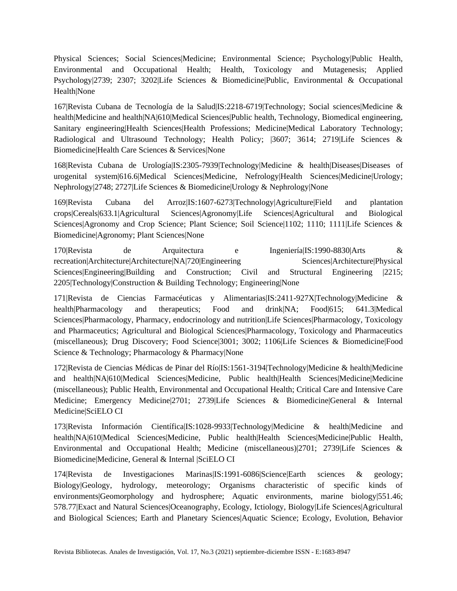Physical Sciences; Social Sciences|Medicine; Environmental Science; Psychology|Public Health, Environmental and Occupational Health; Health, Toxicology and Mutagenesis; Applied Psychology|2739; 2307; 3202|Life Sciences & Biomedicine|Public, Environmental & Occupational Health|None

167|Revista Cubana de Tecnología de la Salud|IS:2218-6719|Technology; Social sciences|Medicine & health|Medicine and health|NA|610|Medical Sciences|Public health, Technology, Biomedical engineering, Sanitary engineering|Health Sciences|Health Professions; Medicine|Medical Laboratory Technology; Radiological and Ultrasound Technology; Health Policy; |3607; 3614; 2719|Life Sciences & Biomedicine|Health Care Sciences & Services|None

168|Revista Cubana de Urología|IS:2305-7939|Technology|Medicine & health|Diseases|Diseases of urogenital system|616.6|Medical Sciences|Medicine, Nefrology|Health Sciences|Medicine|Urology; Nephrology|2748; 2727|Life Sciences & Biomedicine|Urology & Nephrology|None

169|Revista Cubana del Arroz|IS:1607-6273|Technology|Agriculture|Field and plantation crops|Cereals|633.1|Agricultural Sciences|Agronomy|Life Sciences|Agricultural and Biological Sciences|Agronomy and Crop Science; Plant Science; Soil Science|1102; 1110; 1111|Life Sciences & Biomedicine|Agronomy; Plant Sciences|None

170|Revista de Arquitectura e Ingeniería|IS:1990-8830|Arts & recreation|Architecture|Architecture|NA|720|Engineering Sciences|Architecture|Physical Sciences|Engineering|Building and Construction; Civil and Structural Engineering |2215; 2205|Technology|Construction & Building Technology; Engineering|None

171|Revista de Ciencias Farmacéuticas y Alimentarias|IS:2411-927X|Technology|Medicine & health|Pharmacology and therapeutics; Food and drink|NA; Food|615; 641.3|Medical Sciences|Pharmacology, Pharmacy, endocrinology and nutrition|Life Sciences|Pharmacology, Toxicology and Pharmaceutics; Agricultural and Biological Sciences|Pharmacology, Toxicology and Pharmaceutics (miscellaneous); Drug Discovery; Food Science|3001; 3002; 1106|Life Sciences & Biomedicine|Food Science & Technology; Pharmacology & Pharmacy|None

172|Revista de Ciencias Médicas de Pinar del Río|IS:1561-3194|Technology|Medicine & health|Medicine and health|NA|610|Medical Sciences|Medicine, Public health|Health Sciences|Medicine|Medicine (miscellaneous); Public Health, Environmental and Occupational Health; Critical Care and Intensive Care Medicine; Emergency Medicine|2701; 2739|Life Sciences & Biomedicine|General & Internal Medicine|SciELO CI

173|Revista Información Científica|IS:1028-9933|Technology|Medicine & health|Medicine and health|NA|610|Medical Sciences|Medicine, Public health|Health Sciences|Medicine|Public Health, Environmental and Occupational Health; Medicine (miscellaneous)|2701; 2739|Life Sciences & Biomedicine|Medicine, General & Internal |SciELO CI

174|Revista de Investigaciones Marinas|IS:1991-6086|Science|Earth sciences & geology; Biology|Geology, hydrology, meteorology; Organisms characteristic of specific kinds of environments|Geomorphology and hydrosphere; Aquatic environments, marine biology|551.46; 578.77|Exact and Natural Sciences|Oceanography, Ecology, Ictiology, Biology|Life Sciences|Agricultural and Biological Sciences; Earth and Planetary Sciences|Aquatic Science; Ecology, Evolution, Behavior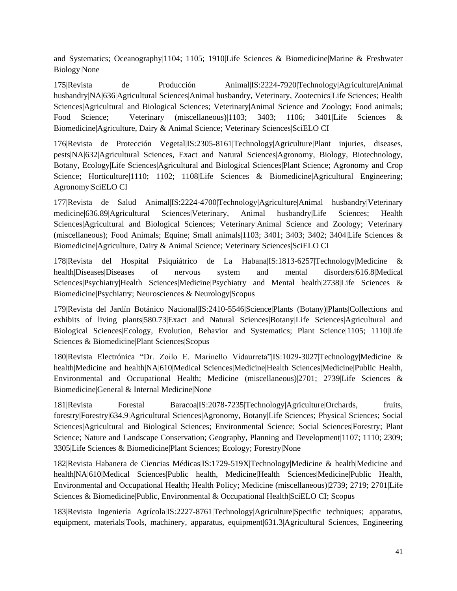and Systematics; Oceanography|1104; 1105; 1910|Life Sciences & Biomedicine|Marine & Freshwater Biology|None

175|Revista de Producción Animal|IS:2224-7920|Technology|Agriculture|Animal husbandry|NA|636|Agricultural Sciences|Animal husbandry, Veterinary, Zootecnics|Life Sciences; Health Sciences|Agricultural and Biological Sciences; Veterinary|Animal Science and Zoology; Food animals; Food Science; Veterinary (miscellaneous)|1103; 3403; 1106; 3401|Life Sciences & Biomedicine|Agriculture, Dairy & Animal Science; Veterinary Sciences|SciELO CI

176|Revista de Protección Vegetal|IS:2305-8161|Technology|Agriculture|Plant injuries, diseases, pests|NA|632|Agricultural Sciences, Exact and Natural Sciences|Agronomy, Biology, Biotechnology, Botany, Ecology|Life Sciences|Agricultural and Biological Sciences|Plant Science; Agronomy and Crop Science; Horticulture|1110; 1102; 1108|Life Sciences & Biomedicine|Agricultural Engineering; Agronomy|SciELO CI

177|Revista de Salud Animal|IS:2224-4700|Technology|Agriculture|Animal husbandry|Veterinary medicine|636.89|Agricultural Sciences|Veterinary, Animal husbandry|Life Sciences; Health Sciences|Agricultural and Biological Sciences; Veterinary|Animal Science and Zoology; Veterinary (miscellaneous); Food Animals; Equine; Small animals|1103; 3401; 3403; 3402; 3404|Life Sciences & Biomedicine|Agriculture, Dairy & Animal Science; Veterinary Sciences|SciELO CI

178|Revista del Hospital Psiquiátrico de La Habana|IS:1813-6257|Technology|Medicine & health|Diseases|Diseases of nervous system and mental disorders|616.8|Medical Sciences|Psychiatry|Health Sciences|Medicine|Psychiatry and Mental health|2738|Life Sciences & Biomedicine|Psychiatry; Neurosciences & Neurology|Scopus

179|Revista del Jardín Botánico Nacional|IS:2410-5546|Science|Plants (Botany)|Plants|Collections and exhibits of living plants|580.73|Exact and Natural Sciences|Botany|Life Sciences|Agricultural and Biological Sciences|Ecology, Evolution, Behavior and Systematics; Plant Science|1105; 1110|Life Sciences & Biomedicine|Plant Sciences|Scopus

180|Revista Electrónica "Dr. Zoilo E. Marinello Vidaurreta"|IS:1029-3027|Technology|Medicine & health|Medicine and health|NA|610|Medical Sciences|Medicine|Health Sciences|Medicine|Public Health, Environmental and Occupational Health; Medicine (miscellaneous)|2701; 2739|Life Sciences & Biomedicine|General & Internal Medicine|None

181|Revista Forestal Baracoa|IS:2078-7235|Technology|Agriculture|Orchards, fruits, forestry|Forestry|634.9|Agricultural Sciences|Agronomy, Botany|Life Sciences; Physical Sciences; Social Sciences|Agricultural and Biological Sciences; Environmental Science; Social Sciences|Forestry; Plant Science; Nature and Landscape Conservation; Geography, Planning and Development|1107; 1110; 2309; 3305|Life Sciences & Biomedicine|Plant Sciences; Ecology; Forestry|None

182|Revista Habanera de Ciencias Médicas|IS:1729-519X|Technology|Medicine & health|Medicine and health|NA|610|Medical Sciences|Public health, Medicine|Health Sciences|Medicine|Public Health, Environmental and Occupational Health; Health Policy; Medicine (miscellaneous)|2739; 2719; 2701|Life Sciences & Biomedicine|Public, Environmental & Occupational Health|SciELO CI; Scopus

183|Revista Ingeniería Agrícola|IS:2227-8761|Technology|Agriculture|Specific techniques; apparatus, equipment, materials|Tools, machinery, apparatus, equipment|631.3|Agricultural Sciences, Engineering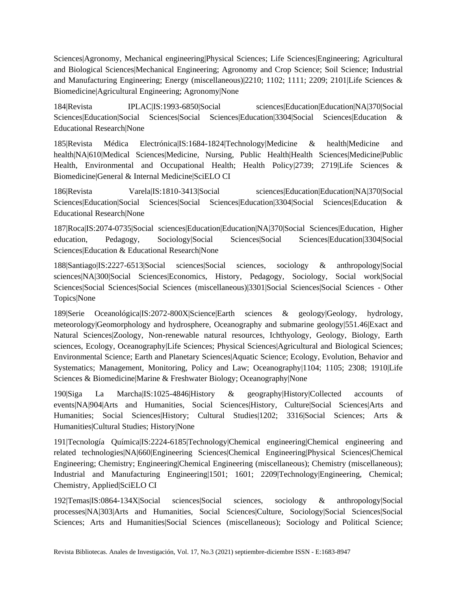Sciences|Agronomy, Mechanical engineering|Physical Sciences; Life Sciences|Engineering; Agricultural and Biological Sciences|Mechanical Engineering; Agronomy and Crop Science; Soil Science; Industrial and Manufacturing Engineering; Energy (miscellaneous)|2210; 1102; 1111; 2209; 2101|Life Sciences & Biomedicine|Agricultural Engineering; Agronomy|None

184|Revista IPLAC|IS:1993-6850|Social sciences|Education|Education|NA|370|Social Sciences|Education|Social Sciences|Social Sciences|Education|3304|Social Sciences|Education & Educational Research|None

185|Revista Médica Electrónica|IS:1684-1824|Technology|Medicine & health|Medicine and health|NA|610|Medical Sciences|Medicine, Nursing, Public Health|Health Sciences|Medicine|Public Health, Environmental and Occupational Health; Health Policy|2739; 2719|Life Sciences & Biomedicine|General & Internal Medicine|SciELO CI

186|Revista Varela|IS:1810-3413|Social sciences|Education|Education|NA|370|Social Sciences|Education|Social Sciences|Social Sciences|Education|3304|Social Sciences|Education & Educational Research|None

187|Roca|IS:2074-0735|Social sciences|Education|Education|NA|370|Social Sciences|Education, Higher education, Pedagogy, Sociology|Social Sciences|Social Sciences|Education|3304|Social Sciences|Education & Educational Research|None

188|Santiago|IS:2227-6513|Social sciences|Social sciences, sociology & anthropology|Social sciences|NA|300|Social Sciences|Economics, History, Pedagogy, Sociology, Social work|Social Sciences|Social Sciences|Social Sciences (miscellaneous)|3301|Social Sciences|Social Sciences - Other Topics|None

189|Serie Oceanológica|IS:2072-800X|Science|Earth sciences & geology|Geology, hydrology, meteorology|Geomorphology and hydrosphere, Oceanography and submarine geology|551.46|Exact and Natural Sciences|Zoology, Non-renewable natural resources, Ichthyology, Geology, Biology, Earth sciences, Ecology, Oceanography|Life Sciences; Physical Sciences|Agricultural and Biological Sciences; Environmental Science; Earth and Planetary Sciences|Aquatic Science; Ecology, Evolution, Behavior and Systematics; Management, Monitoring, Policy and Law; Oceanography|1104; 1105; 2308; 1910|Life Sciences & Biomedicine|Marine & Freshwater Biology; Oceanography|None

190|Siga La Marcha|IS:1025-4846|History & geography|History|Collected accounts of events|NA|904|Arts and Humanities, Social Sciences|History, Culture|Social Sciences|Arts and Humanities; Social Sciences|History; Cultural Studies|1202; 3316|Social Sciences; Arts & Humanities|Cultural Studies; History|None

191|Tecnología Química|IS:2224-6185|Technology|Chemical engineering|Chemical engineering and related technologies|NA|660|Engineering Sciences|Chemical Engineering|Physical Sciences|Chemical Engineering; Chemistry; Engineering|Chemical Engineering (miscellaneous); Chemistry (miscellaneous); Industrial and Manufacturing Engineering|1501; 1601; 2209|Technology|Engineering, Chemical; Chemistry, Applied|SciELO CI

192|Temas|IS:0864-134X|Social sciences|Social sciences, sociology & anthropology|Social processes|NA|303|Arts and Humanities, Social Sciences|Culture, Sociology|Social Sciences|Social Sciences; Arts and Humanities|Social Sciences (miscellaneous); Sociology and Political Science;